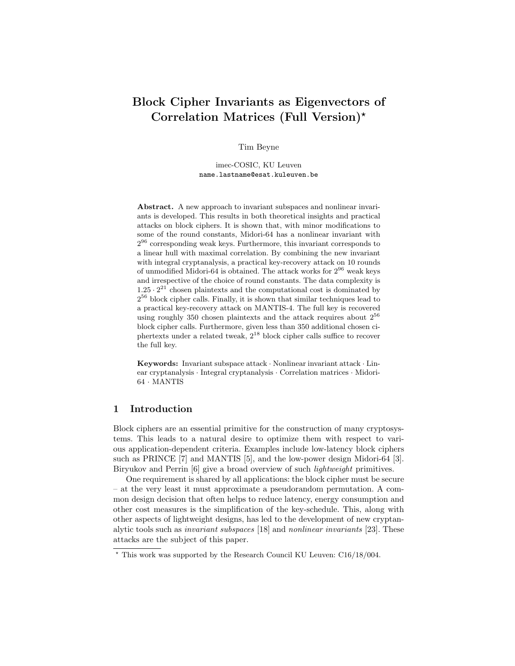# Block Cipher Invariants as Eigenvectors of Correlation Matrices (Full Version)?

Tim Beyne

imec-COSIC, KU Leuven name.lastname@esat.kuleuven.be

Abstract. A new approach to invariant subspaces and nonlinear invariants is developed. This results in both theoretical insights and practical attacks on block ciphers. It is shown that, with minor modifications to some of the round constants, Midori-64 has a nonlinear invariant with  $2^{96}$  corresponding weak keys. Furthermore, this invariant corresponds to a linear hull with maximal correlation. By combining the new invariant with integral cryptanalysis, a practical key-recovery attack on 10 rounds of unmodified Midori-64 is obtained. The attack works for  $2^{96}$  weak keys and irrespective of the choice of round constants. The data complexity is  $1.25 \cdot 2^{21}$  chosen plaintexts and the computational cost is dominated by  $2^{56}$  block cipher calls. Finally, it is shown that similar techniques lead to a practical key-recovery attack on MANTIS-4. The full key is recovered using roughly 350 chosen plaintexts and the attack requires about  $2^{56}$ block cipher calls. Furthermore, given less than 350 additional chosen ciphertexts under a related tweak,  $2^{18}$  block cipher calls suffice to recover the full key.

**Keywords:** Invariant subspace attack  $\cdot$  Nonlinear invariant attack  $\cdot$  Linear cryptanalysis · Integral cryptanalysis · Correlation matrices · Midori-64 · MANTIS

## 1 Introduction

Block ciphers are an essential primitive for the construction of many cryptosystems. This leads to a natural desire to optimize them with respect to various application-dependent criteria. Examples include low-latency block ciphers such as PRINCE [7] and MANTIS [5], and the low-power design Midori-64 [3]. Biryukov and Perrin [6] give a broad overview of such *lightweight* primitives.

One requirement is shared by all applications: the block cipher must be secure – at the very least it must approximate a pseudorandom permutation. A common design decision that often helps to reduce latency, energy consumption and other cost measures is the simplification of the key-schedule. This, along with other aspects of lightweight designs, has led to the development of new cryptanalytic tools such as invariant subspaces [18] and nonlinear invariants [23]. These attacks are the subject of this paper.

<sup>?</sup> This work was supported by the Research Council KU Leuven: C16/18/004.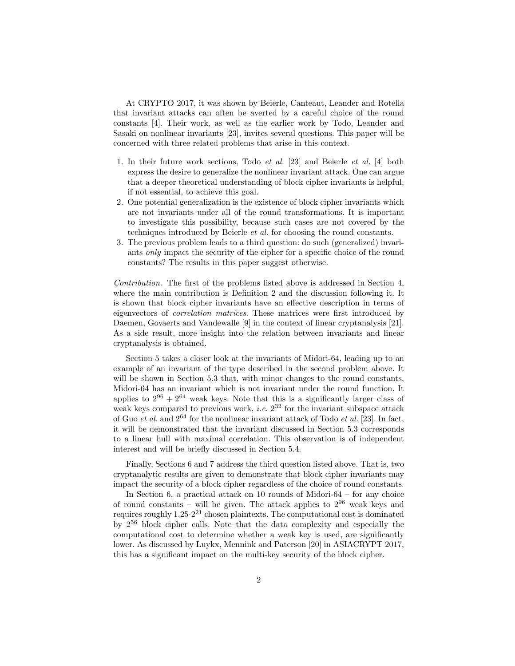At CRYPTO 2017, it was shown by Beierle, Canteaut, Leander and Rotella that invariant attacks can often be averted by a careful choice of the round constants [4]. Their work, as well as the earlier work by Todo, Leander and Sasaki on nonlinear invariants [23], invites several questions. This paper will be concerned with three related problems that arise in this context.

- 1. In their future work sections, Todo et al. [23] and Beierle et al. [4] both express the desire to generalize the nonlinear invariant attack. One can argue that a deeper theoretical understanding of block cipher invariants is helpful, if not essential, to achieve this goal.
- 2. One potential generalization is the existence of block cipher invariants which are not invariants under all of the round transformations. It is important to investigate this possibility, because such cases are not covered by the techniques introduced by Beierle et al. for choosing the round constants.
- 3. The previous problem leads to a third question: do such (generalized) invariants only impact the security of the cipher for a specific choice of the round constants? The results in this paper suggest otherwise.

Contribution. The first of the problems listed above is addressed in Section 4, where the main contribution is Definition 2 and the discussion following it. It is shown that block cipher invariants have an effective description in terms of eigenvectors of correlation matrices. These matrices were first introduced by Daemen, Govaerts and Vandewalle [9] in the context of linear cryptanalysis [21]. As a side result, more insight into the relation between invariants and linear cryptanalysis is obtained.

Section 5 takes a closer look at the invariants of Midori-64, leading up to an example of an invariant of the type described in the second problem above. It will be shown in Section 5.3 that, with minor changes to the round constants, Midori-64 has an invariant which is not invariant under the round function. It applies to  $2^{96} + 2^{64}$  weak keys. Note that this is a significantly larger class of weak keys compared to previous work, *i.e.*  $2^{32}$  for the invariant subspace attack of Guo et al. and  $2^{64}$  for the nonlinear invariant attack of Todo et al. [23]. In fact, it will be demonstrated that the invariant discussed in Section 5.3 corresponds to a linear hull with maximal correlation. This observation is of independent interest and will be briefly discussed in Section 5.4.

Finally, Sections 6 and 7 address the third question listed above. That is, two cryptanalytic results are given to demonstrate that block cipher invariants may impact the security of a block cipher regardless of the choice of round constants.

In Section 6, a practical attack on  $10$  rounds of Midori- $64$  – for any choice of round constants – will be given. The attack applies to  $2^{96}$  weak keys and requires roughly 1.25·2 <sup>21</sup> chosen plaintexts. The computational cost is dominated by 2<sup>56</sup> block cipher calls. Note that the data complexity and especially the computational cost to determine whether a weak key is used, are significantly lower. As discussed by Luykx, Mennink and Paterson [20] in ASIACRYPT 2017, this has a significant impact on the multi-key security of the block cipher.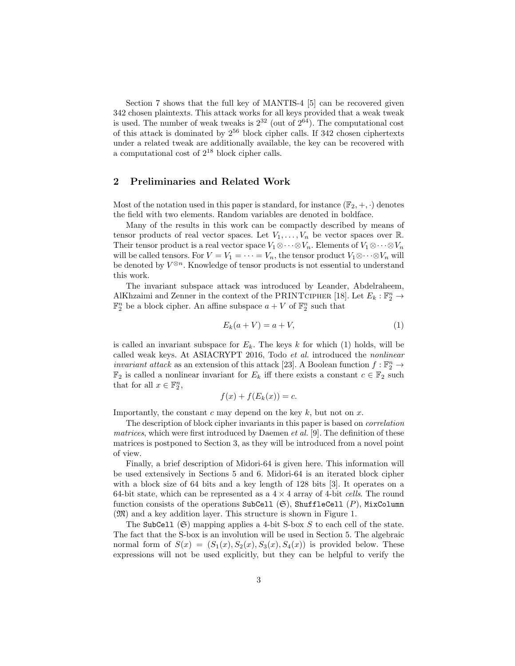Section 7 shows that the full key of MANTIS-4 [5] can be recovered given 342 chosen plaintexts. This attack works for all keys provided that a weak tweak is used. The number of weak tweaks is  $2^{32}$  (out of  $2^{64}$ ). The computational cost of this attack is dominated by  $2^{56}$  block cipher calls. If 342 chosen ciphertexts under a related tweak are additionally available, the key can be recovered with a computational cost of  $2^{18}$  block cipher calls.

# 2 Preliminaries and Related Work

Most of the notation used in this paper is standard, for instance  $(\mathbb{F}_2, +, \cdot)$  denotes the field with two elements. Random variables are denoted in boldface.

Many of the results in this work can be compactly described by means of tensor products of real vector spaces. Let  $V_1, \ldots, V_n$  be vector spaces over R. Their tensor product is a real vector space  $V_1 \otimes \cdots \otimes V_n$ . Elements of  $V_1 \otimes \cdots \otimes V_n$ will be called tensors. For  $V = V_1 = \cdots = V_n$ , the tensor product  $V_1 \otimes \cdots \otimes V_n$  will be denoted by  $V^{\otimes n}$ . Knowledge of tensor products is not essential to understand this work.

The invariant subspace attack was introduced by Leander, Abdelraheem, AlKhzaimi and Zenner in the context of the PRINTCIPHER [18]. Let  $E_k : \mathbb{F}_2^n \to$  $\mathbb{F}_2^n$  be a block cipher. An affine subspace  $a + V$  of  $\mathbb{F}_2^n$  such that

$$
E_k(a+V) = a+V,\t\t(1)
$$

is called an invariant subspace for  $E_k$ . The keys k for which (1) holds, will be called weak keys. At ASIACRYPT 2016, Todo et al. introduced the nonlinear invariant attack as an extension of this attack [23]. A Boolean function  $f : \mathbb{F}_2^n \to$  $\mathbb{F}_2$  is called a nonlinear invariant for  $E_k$  iff there exists a constant  $c \in \mathbb{F}_2$  such that for all  $x \in \mathbb{F}_2^n$ ,

$$
f(x) + f(E_k(x)) = c.
$$

Importantly, the constant  $c$  may depend on the key  $k$ , but not on  $x$ .

The description of block cipher invariants in this paper is based on correlation matrices, which were first introduced by Daemen *et al.* [9]. The definition of these matrices is postponed to Section 3, as they will be introduced from a novel point of view.

Finally, a brief description of Midori-64 is given here. This information will be used extensively in Sections 5 and 6. Midori-64 is an iterated block cipher with a block size of 64 bits and a key length of 128 bits [3]. It operates on a 64-bit state, which can be represented as a  $4 \times 4$  array of 4-bit cells. The round function consists of the operations SubCell  $(\mathfrak{S})$ , ShuffleCell  $(P)$ , MixColumn (M) and a key addition layer. This structure is shown in Figure 1.

The SubCell  $(\mathfrak{S})$  mapping applies a 4-bit S-box S to each cell of the state. The fact that the S-box is an involution will be used in Section 5. The algebraic normal form of  $S(x) = (S_1(x), S_2(x), S_3(x), S_4(x))$  is provided below. These expressions will not be used explicitly, but they can be helpful to verify the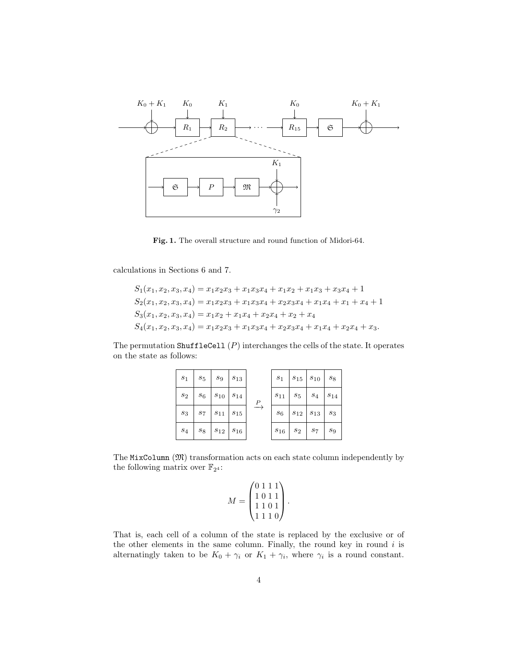

Fig. 1. The overall structure and round function of Midori-64.

calculations in Sections 6 and 7.

$$
S_1(x_1, x_2, x_3, x_4) = x_1x_2x_3 + x_1x_3x_4 + x_1x_2 + x_1x_3 + x_3x_4 + 1
$$
  
\n
$$
S_2(x_1, x_2, x_3, x_4) = x_1x_2x_3 + x_1x_3x_4 + x_2x_3x_4 + x_1x_4 + x_1 + x_4 + 1
$$
  
\n
$$
S_3(x_1, x_2, x_3, x_4) = x_1x_2 + x_1x_4 + x_2x_4 + x_2 + x_4
$$
  
\n
$$
S_4(x_1, x_2, x_3, x_4) = x_1x_2x_3 + x_1x_3x_4 + x_2x_3x_4 + x_1x_4 + x_2x_4 + x_3.
$$

The permutation ShuffleCell  $(P)$  interchanges the cells of the state. It operates on the state as follows:

|  | $s_1$   $s_5$   $s_9$   $s_{13}$    |  | $s_1$   $s_{15}$   $s_{10}$   $s_8$ |  |
|--|-------------------------------------|--|-------------------------------------|--|
|  | $s_2$   $s_6$   $s_{10}$   $s_{14}$ |  | $s_{11}$   $s_5$   $s_4$   $s_{14}$ |  |
|  | $s_3$   $s_7$   $s_{11}$   $s_{15}$ |  | $s_6$   $s_{12}$   $s_{13}$   $s_3$ |  |
|  | $s_4$   $s_8$   $s_{12}$   $s_{16}$ |  | $s_{16}$   $s_2$   $s_7$   $s_9$    |  |

The  $MixColumn (\mathfrak{M})$  transformation acts on each state column independently by the following matrix over  $\mathbb{F}_{2^4}$ :

$$
M = \begin{pmatrix} 0 & 1 & 1 & 1 \\ 1 & 0 & 1 & 1 \\ 1 & 1 & 0 & 1 \\ 1 & 1 & 1 & 0 \end{pmatrix}.
$$

That is, each cell of a column of the state is replaced by the exclusive or of the other elements in the same column. Finally, the round key in round  $i$  is alternatingly taken to be  $K_0 + \gamma_i$  or  $K_1 + \gamma_i$ , where  $\gamma_i$  is a round constant.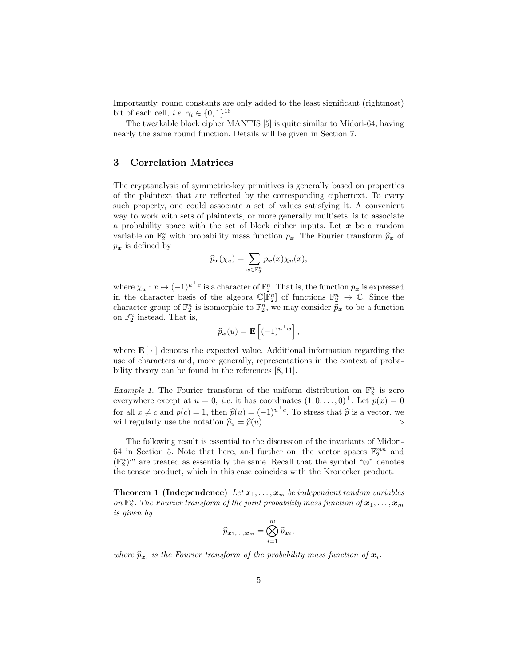Importantly, round constants are only added to the least significant (rightmost) bit of each cell, *i.e.*  $\gamma_i \in \{0, 1\}^{16}$ .

The tweakable block cipher MANTIS [5] is quite similar to Midori-64, having nearly the same round function. Details will be given in Section 7.

# 3 Correlation Matrices

The cryptanalysis of symmetric-key primitives is generally based on properties of the plaintext that are reflected by the corresponding ciphertext. To every such property, one could associate a set of values satisfying it. A convenient way to work with sets of plaintexts, or more generally multisets, is to associate a probability space with the set of block cipher inputs. Let  $x$  be a random variable on  $\mathbb{F}_2^n$  with probability mass function  $p_x$ . The Fourier transform  $\hat{p}_x$  of  $p_x$  is defined by

$$
\widehat{p}_{\boldsymbol{x}}(\chi_u) = \sum_{x \in \mathbb{F}_2^n} p_{\boldsymbol{x}}(x) \chi_u(x),
$$

where  $\chi_u : x \mapsto (-1)^{u^\top x}$  is a character of  $\mathbb{F}_2^n$ . That is, the function  $p_x$  is expressed in the character basis of the algebra  $\mathbb{C}[\mathbb{F}_2^n]$  of functions  $\mathbb{F}_2^n \to \mathbb{C}$ . Since the character group of  $\mathbb{F}_2^n$  is isomorphic to  $\mathbb{F}_2^n$ , we may consider  $\tilde{\hat{p}}_x$  to be a function on  $\mathbb{F}_2^n$  instead. That is,

$$
\widehat{p}_{\boldsymbol{x}}(u) = \mathbf{E}\left[(-1)^{u^\top \boldsymbol{x}}\right],
$$

where  $\mathbf{E}[\cdot]$  denotes the expected value. Additional information regarding the use of characters and, more generally, representations in the context of probability theory can be found in the references [8, 11].

*Example 1*. The Fourier transform of the uniform distribution on  $\mathbb{F}_2^n$  is zero everywhere except at  $u = 0$ , *i.e.* it has coordinates  $(1, 0, \ldots, 0)^\top$ . Let  $p(x) = 0$ for all  $x \neq c$  and  $p(c) = 1$ , then  $\hat{p}(u) = (-1)^{u^{\top}c}$ . To stress that  $\hat{p}$  is a vector, we will regularly use the notation  $\widehat{p}_u = \widehat{p}(u)$ .

The following result is essential to the discussion of the invariants of Midori-64 in Section 5. Note that here, and further on, the vector spaces  $\mathbb{F}_2^{mn}$  and  $(\mathbb{F}_2^n)^m$  are treated as essentially the same. Recall that the symbol " $\otimes$ " denotes the tensor product, which in this case coincides with the Kronecker product.

**Theorem 1 (Independence)** Let  $x_1, \ldots, x_m$  be independent random variables on  $\mathbb{F}_2^n$ . The Fourier transform of the joint probability mass function of  $\pmb{x}_1,\ldots,\pmb{x}_m$ is given by

$$
\widehat{p}_{\boldsymbol{x}_1,...,\boldsymbol{x}_m} = \bigotimes_{i=1}^m \widehat{p}_{\boldsymbol{x}_i},
$$

where  $\widehat{p}_{\boldsymbol{x}_i}$  is the Fourier transform of the probability mass function of  $\boldsymbol{x}_i$ .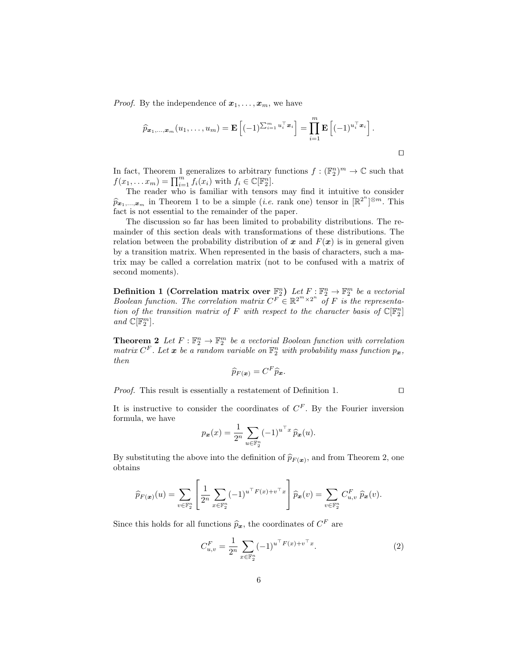*Proof.* By the independence of  $x_1, \ldots, x_m$ , we have

$$
\widehat{p}_{\boldsymbol{x}_1,\ldots,\boldsymbol{x}_m}(u_1,\ldots,u_m) = \mathbf{E}\left[(-1)^{\sum_{i=1}^m u_i^\top \boldsymbol{x}_i}\right] = \prod_{i=1}^m \mathbf{E}\left[(-1)^{u_i^\top \boldsymbol{x}_i}\right].
$$

 $\Box$ 

In fact, Theorem 1 generalizes to arbitrary functions  $f: (\mathbb{F}_2^n)^m \to \mathbb{C}$  such that  $f(x_1,... x_m) = \prod_{i=1}^m f_i(x_i)$  with  $f_i \in \mathbb{C}[\mathbb{F}_2^n]$ .

The reader who is familiar with tensors may find it intuitive to consider  $\widehat{p}_{\mathbf{x}_1,\dots,\mathbf{x}_m}$  in Theorem 1 to be a simple (*i.e.* rank one) tensor in  $[\mathbb{R}^{2^n}]^{\otimes m}$ . This fact is not essential to the remainder of the paper.

The discussion so far has been limited to probability distributions. The remainder of this section deals with transformations of these distributions. The relation between the probability distribution of x and  $F(x)$  is in general given by a transition matrix. When represented in the basis of characters, such a matrix may be called a correlation matrix (not to be confused with a matrix of second moments).

Definition 1 (Correlation matrix over  $\mathbb{F}_2^n$ ) Let  $F: \mathbb{F}_2^n \to \mathbb{F}_2^m$  be a vectorial Boolean function. The correlation matrix  $C^F \in \mathbb{R}^{2^m \times 2^n}$  of F is the representation of the transition matrix of F with respect to the character basis of  $\mathbb{C}[\mathbb{F}_2^n]$ and  $\mathbb{C}[\mathbb{F}_2^m]$ .

**Theorem 2** Let  $F: \mathbb{F}_2^n \to \mathbb{F}_2^m$  be a vectorial Boolean function with correlation matrix  $C^F$ . Let  $\boldsymbol{x}$  be a random variable on  $\mathbb{F}_2^n$  with probability mass function  $p_{\boldsymbol{x}}$ , then

$$
\widehat{p}_{F(\boldsymbol{x})}=C^F \widehat{p}_{\boldsymbol{x}}.
$$

*Proof.* This result is essentially a restatement of Definition 1.  $\Box$ 

It is instructive to consider the coordinates of  $C^F$ . By the Fourier inversion formula, we have

$$
p_{\boldsymbol{x}}(x) = \frac{1}{2^n} \sum_{u \in \mathbb{F}_2^n} (-1)^{u^\top x} \widehat{p}_{\boldsymbol{x}}(u).
$$

By substituting the above into the definition of  $\widehat{p}_{F(x)}$ , and from Theorem 2, one obtains obtains

$$
\widehat{p}_{F(\boldsymbol{x})}(u) = \sum_{v \in \mathbb{F}_2^n} \left[ \frac{1}{2^n} \sum_{x \in \mathbb{F}_2^n} (-1)^{u^\top F(x) + v^\top x} \right] \widehat{p}_{\boldsymbol{x}}(v) = \sum_{v \in \mathbb{F}_2^n} C_{u,v}^F \widehat{p}_{\boldsymbol{x}}(v).
$$

Since this holds for all functions  $\hat{p}_x$ , the coordinates of  $C^F$  are

$$
C_{u,v}^F = \frac{1}{2^n} \sum_{x \in \mathbb{F}_2^n} (-1)^{u^\top F(x) + v^\top x}.
$$
 (2)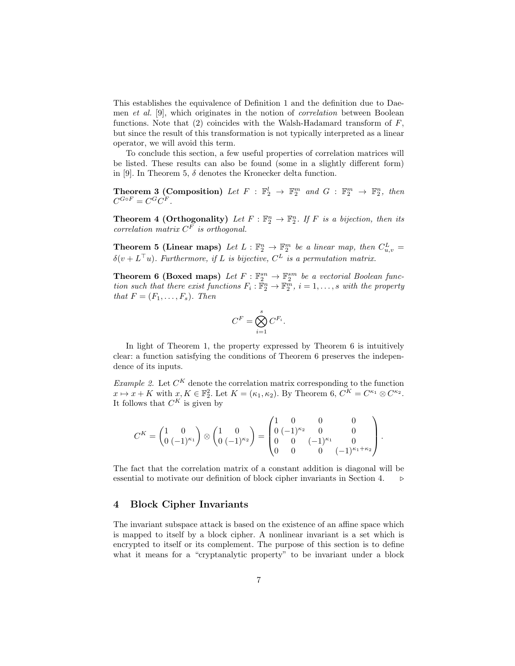This establishes the equivalence of Definition 1 and the definition due to Daemen et al. [9], which originates in the notion of correlation between Boolean functions. Note that  $(2)$  coincides with the Walsh-Hadamard transform of  $F$ , but since the result of this transformation is not typically interpreted as a linear operator, we will avoid this term.

To conclude this section, a few useful properties of correlation matrices will be listed. These results can also be found (some in a slightly different form) in [9]. In Theorem 5,  $\delta$  denotes the Kronecker delta function.

**Theorem 3 (Composition)** Let  $F : \mathbb{F}_2^l \to \mathbb{F}_2^m$  and  $G : \mathbb{F}_2^m \to \mathbb{F}_2^n$ , then  $C^{G \circ F} = C^G C^F.$ 

**Theorem 4 (Orthogonality)** Let  $F : \mathbb{F}_2^n \to \mathbb{F}_2^n$ . If F is a bijection, then its correlation matrix  $C^F$  is orthogonal.

**Theorem 5 (Linear maps)** Let  $L : \mathbb{F}_2^n \to \mathbb{F}_2^m$  be a linear map, then  $C_{u,v}^L =$  $\delta(v+L^\top u)$ . Furthermore, if L is bijective,  $C^L$  is a permutation matrix.

**Theorem 6 (Boxed maps)** Let  $F : \mathbb{F}_2^{sn} \to \mathbb{F}_2^{sm}$  be a vectorial Boolean function such that there exist functions  $F_i : \mathbb{F}_2^n \to \mathbb{F}_2^m$ ,  $i = 1, \ldots, s$  with the property that  $F = (F_1, \ldots, F_s)$ . Then

$$
C^F = \bigotimes_{i=1}^s C^{F_i}.
$$

In light of Theorem 1, the property expressed by Theorem 6 is intuitively clear: a function satisfying the conditions of Theorem 6 preserves the independence of its inputs.

Example 2. Let  $C^K$  denote the correlation matrix corresponding to the function  $x \mapsto x + K$  with  $x, K \in \mathbb{F}_2^2$ . Let  $K = (\kappa_1, \kappa_2)$ . By Theorem 6,  $C^K = C^{\kappa_1} \otimes C^{\kappa_2}$ . It follows that  $C^K$  is given by

$$
C^K = \begin{pmatrix} 1 & 0 \\ 0 & (-1)^{\kappa_1} \end{pmatrix} \otimes \begin{pmatrix} 1 & 0 \\ 0 & (-1)^{\kappa_2} \end{pmatrix} = \begin{pmatrix} 1 & 0 & 0 & 0 \\ 0 & (-1)^{\kappa_2} & 0 & 0 \\ 0 & 0 & (-1)^{\kappa_1} & 0 \\ 0 & 0 & 0 & (-1)^{\kappa_1 + \kappa_2} \end{pmatrix}.
$$

The fact that the correlation matrix of a constant addition is diagonal will be essential to motivate our definition of block cipher invariants in Section 4.  $\triangleright$ 

## 4 Block Cipher Invariants

The invariant subspace attack is based on the existence of an affine space which is mapped to itself by a block cipher. A nonlinear invariant is a set which is encrypted to itself or its complement. The purpose of this section is to define what it means for a "cryptanalytic property" to be invariant under a block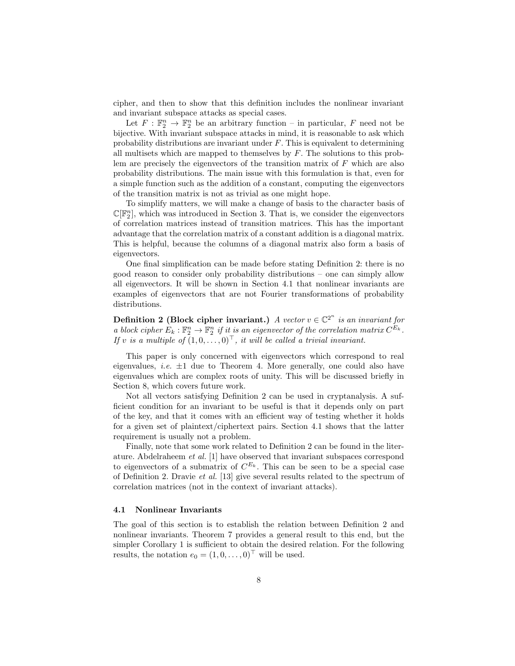cipher, and then to show that this definition includes the nonlinear invariant and invariant subspace attacks as special cases.

Let  $F: \mathbb{F}_2^n \to \mathbb{F}_2^n$  be an arbitrary function – in particular, F need not be bijective. With invariant subspace attacks in mind, it is reasonable to ask which probability distributions are invariant under  $F$ . This is equivalent to determining all multisets which are mapped to themselves by  $F$ . The solutions to this problem are precisely the eigenvectors of the transition matrix of  $F$  which are also probability distributions. The main issue with this formulation is that, even for a simple function such as the addition of a constant, computing the eigenvectors of the transition matrix is not as trivial as one might hope.

To simplify matters, we will make a change of basis to the character basis of  $\mathbb{C}[\mathbb{F}_2^n]$ , which was introduced in Section 3. That is, we consider the eigenvectors of correlation matrices instead of transition matrices. This has the important advantage that the correlation matrix of a constant addition is a diagonal matrix. This is helpful, because the columns of a diagonal matrix also form a basis of eigenvectors.

One final simplification can be made before stating Definition 2: there is no good reason to consider only probability distributions – one can simply allow all eigenvectors. It will be shown in Section 4.1 that nonlinear invariants are examples of eigenvectors that are not Fourier transformations of probability distributions.

**Definition 2 (Block cipher invariant.)** A vector  $v \in \mathbb{C}^{2^n}$  is an invariant for a block cipher  $E_k : \mathbb{F}_2^n \to \mathbb{F}_2^n$  if it is an eigenvector of the correlation matrix  $C^{E_k}$ . If v is a multiple of  $(1, 0, \ldots, 0)^{\top}$ , it will be called a trivial invariant.

This paper is only concerned with eigenvectors which correspond to real eigenvalues, *i.e.*  $\pm 1$  due to Theorem 4. More generally, one could also have eigenvalues which are complex roots of unity. This will be discussed briefly in Section 8, which covers future work.

Not all vectors satisfying Definition 2 can be used in cryptanalysis. A sufficient condition for an invariant to be useful is that it depends only on part of the key, and that it comes with an efficient way of testing whether it holds for a given set of plaintext/ciphertext pairs. Section 4.1 shows that the latter requirement is usually not a problem.

Finally, note that some work related to Definition 2 can be found in the literature. Abdelraheem et al. [1] have observed that invariant subspaces correspond to eigenvectors of a submatrix of  $C^{E_k}$ . This can be seen to be a special case of Definition 2. Dravie et al. [13] give several results related to the spectrum of correlation matrices (not in the context of invariant attacks).

#### 4.1 Nonlinear Invariants

The goal of this section is to establish the relation between Definition 2 and nonlinear invariants. Theorem 7 provides a general result to this end, but the simpler Corollary 1 is sufficient to obtain the desired relation. For the following results, the notation  $e_0 = (1, 0, \ldots, 0)^\top$  will be used.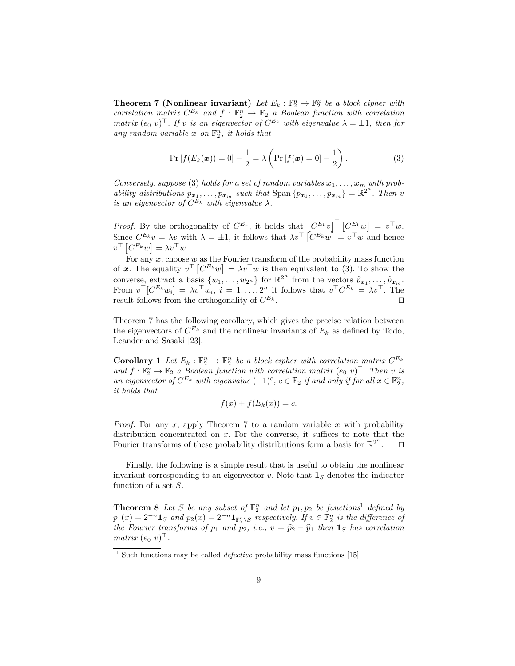**Theorem 7 (Nonlinear invariant)** Let  $E_k : \mathbb{F}_2^n \to \mathbb{F}_2^n$  be a block cipher with correlation matrix  $C^{E_k}$  and  $f : \mathbb{F}_2^n \to \mathbb{F}_2$  a Boolean function with correlation matrix  $(e_0 v)^\top$ . If v is an eigenvector of  $C^{E_k}$  with eigenvalue  $\lambda = \pm 1$ , then for any random variable  $x$  on  $\mathbb{F}_2^n$ , it holds that

$$
\Pr\left[f(E_k(\bm{x}))=0\right] - \frac{1}{2} = \lambda \left(\Pr\left[f(\bm{x})=0\right] - \frac{1}{2}\right). \tag{3}
$$

Conversely, suppose (3) holds for a set of random variables  $x_1, \ldots, x_m$  with probability distributions  $p_{x_1}, \ldots, p_{x_m}$  such that  $\text{Span} \{p_{x_1}, \ldots, p_{x_m}\} = \mathbb{R}^{2^n}$ . Then v is an eigenvector of  $C^{E_k}$  with eigenvalue  $\lambda$ .

*Proof.* By the orthogonality of  $C^{E_k}$ , it holds that  $\left[C^{E_k}v\right]^\top\left[C^{E_k}w\right] = v^\top w$ . Since  $C^{E_k}v = \lambda v$  with  $\lambda = \pm 1$ , it follows that  $\lambda v^{\top} [C^{E_k}w] = v^{\top}w$  and hence  $v^{\top} [C^{E_k} w] = \lambda v^{\top} w.$ 

For any  $x$ , choose  $w$  as the Fourier transform of the probability mass function of x. The equality  $v^{\top} [C^{E_k}w] = \lambda v^{\top}w$  is then equivalent to (3). To show the converse, extract a basis  $\{w_1, \ldots, w_{2^n}\}$  for  $\mathbb{R}^{2^n}$  from the vectors  $\widehat{p}_{\boldsymbol{x}_1}, \ldots, \widehat{p}_{\boldsymbol{x}_m}$ .<br>From  $v^{\top} [C^{E_k} w_i] = \lambda v^{\top} w_i$ ,  $i = 1, \ldots, 2^n$  it follows that  $v^{\top} C^{E_k} = \lambda v^{\top}$ . The result follows from the orthogonality of  $C^{E_k}$ .  $E_k$ .

Theorem 7 has the following corollary, which gives the precise relation between the eigenvectors of  $C^{E_k}$  and the nonlinear invariants of  $E_k$  as defined by Todo, Leander and Sasaki [23].

**Corollary 1** Let  $E_k : \mathbb{F}_2^n \to \mathbb{F}_2^n$  be a block cipher with correlation matrix  $C^{E_k}$ and  $f: \mathbb{F}_2^n \to \mathbb{F}_2$  a Boolean function with correlation matrix  $(e_0 v)^\top$ . Then v is an eigenvector of  $C^{E_k}$  with eigenvalue  $(-1)^c$ ,  $c \in \mathbb{F}_2$  if and only if for all  $x \in \mathbb{F}_2^n$ , it holds that

$$
f(x) + f(E_k(x)) = c.
$$

*Proof.* For any x, apply Theorem 7 to a random variable x with probability distribution concentrated on  $x$ . For the converse, it suffices to note that the Fourier transforms of these probability distributions form a basis for  $\mathbb{R}^{2^n}$  $\Box$ 

Finally, the following is a simple result that is useful to obtain the nonlinear invariant corresponding to an eigenvector v. Note that  $\mathbf{1}_S$  denotes the indicator function of a set S.

**Theorem 8** Let S be any subset of  $\mathbb{F}_2^n$  and let  $p_1, p_2$  be functions<sup>1</sup> defined by  $p_1(x) = 2^{-n} \mathbf{1}_S$  and  $p_2(x) = 2^{-n} \mathbf{1}_{\mathbb{F}_2^n \setminus S}$  respectively. If  $v \in \mathbb{F}_2^n$  is the difference of the Fourier transforms of p<sub>1</sub> and p<sub>2</sub>, i.e.,  $v = \hat{p}_2 - \hat{p}_1$  then  $\mathbf{1}_S$  has correlation<br>matrix  $(e, e)^T$ matrix  $(e_0 v)^\top$ .

<sup>&</sup>lt;sup>1</sup> Such functions may be called *defective* probability mass functions [15].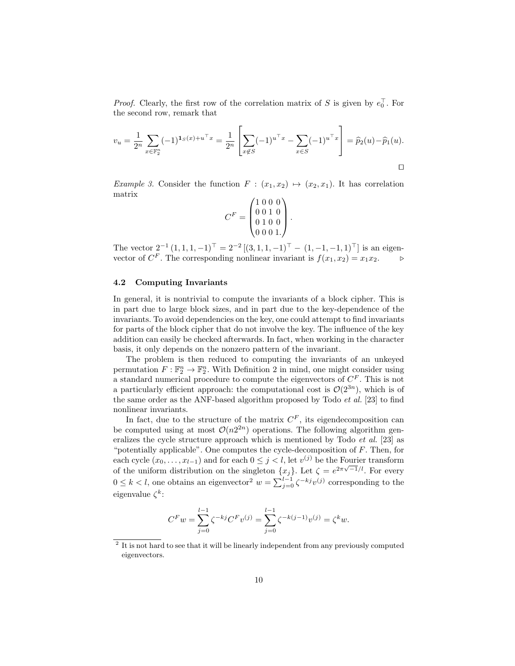*Proof.* Clearly, the first row of the correlation matrix of S is given by  $e_0^{\top}$ . For the second row, remark that

$$
v_u = \frac{1}{2^n} \sum_{x \in \mathbb{F}_2^n} (-1)^{x(x) + u^\top x} = \frac{1}{2^n} \left[ \sum_{x \notin S} (-1)^{u^\top x} - \sum_{x \in S} (-1)^{u^\top x} \right] = \widehat{p}_2(u) - \widehat{p}_1(u).
$$

Example 3. Consider the function  $F : (x_1, x_2) \mapsto (x_2, x_1)$ . It has correlation matrix

$$
C^{F} = \begin{pmatrix} 1 & 0 & 0 & 0 \\ 0 & 0 & 1 & 0 \\ 0 & 1 & 0 & 0 \\ 0 & 0 & 0 & 1. \end{pmatrix}.
$$

The vector  $2^{-1} (1, 1, 1, -1)^\top = 2^{-2} [(3, 1, 1, -1)^\top - (1, -1, -1, 1)^\top]$  is an eigenvector of  $C^F$ . The corresponding nonlinear invariant is  $f(x_1, x_2) = x_1 x_2$ .

## 4.2 Computing Invariants

In general, it is nontrivial to compute the invariants of a block cipher. This is in part due to large block sizes, and in part due to the key-dependence of the invariants. To avoid dependencies on the key, one could attempt to find invariants for parts of the block cipher that do not involve the key. The influence of the key addition can easily be checked afterwards. In fact, when working in the character basis, it only depends on the nonzero pattern of the invariant.

The problem is then reduced to computing the invariants of an unkeyed permutation  $F: \mathbb{F}_2^n \to \mathbb{F}_2^n$ . With Definition 2 in mind, one might consider using a standard numerical procedure to compute the eigenvectors of  $C<sup>F</sup>$ . This is not a particularly efficient approach: the computational cost is  $\mathcal{O}(2^{3n})$ , which is of the same order as the ANF-based algorithm proposed by Todo  $et al.$  [23] to find nonlinear invariants.

In fact, due to the structure of the matrix  $C^F$ , its eigendecomposition can be computed using at most  $\mathcal{O}(n2^{2n})$  operations. The following algorithm generalizes the cycle structure approach which is mentioned by Todo et al. [23] as "potentially applicable". One computes the cycle-decomposition of  $F$ . Then, for each cycle  $(x_0, \ldots, x_{l-1})$  and for each  $0 \leq j < l$ , let  $v^{(j)}$  be the Fourier transform of the uniform distribution on the singleton  $\{x_j\}$ . Let  $\zeta = e^{2\pi\sqrt{-1}/l}$ . For every  $0 \leq k < l$ , one obtains an eigenvector<sup>2</sup>  $w = \sum_{j=0}^{l-1} \zeta^{-kj} v^{(j)}$  corresponding to the eigenvalue  $\zeta^k$ :

$$
C^Fw = \sum_{j=0}^{l-1} \zeta^{-kj}C^Fv^{(j)} = \sum_{j=0}^{l-1} \zeta^{-k(j-1)}v^{(j)} = \zeta^k w.
$$

 $2$  It is not hard to see that it will be linearly independent from any previously computed eigenvectors.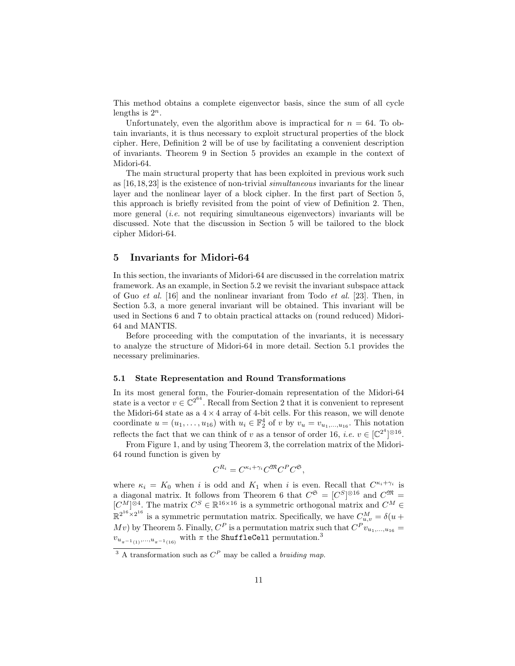This method obtains a complete eigenvector basis, since the sum of all cycle lengths is  $2^n$ .

Unfortunately, even the algorithm above is impractical for  $n = 64$ . To obtain invariants, it is thus necessary to exploit structural properties of the block cipher. Here, Definition 2 will be of use by facilitating a convenient description of invariants. Theorem 9 in Section 5 provides an example in the context of Midori-64.

The main structural property that has been exploited in previous work such as [16,18,23] is the existence of non-trivial simultaneous invariants for the linear layer and the nonlinear layer of a block cipher. In the first part of Section 5, this approach is briefly revisited from the point of view of Definition 2. Then, more general *(i.e.* not requiring simultaneous eigenvectors) invariants will be discussed. Note that the discussion in Section 5 will be tailored to the block cipher Midori-64.

## 5 Invariants for Midori-64

In this section, the invariants of Midori-64 are discussed in the correlation matrix framework. As an example, in Section 5.2 we revisit the invariant subspace attack of Guo et al. [16] and the nonlinear invariant from Todo et al. [23]. Then, in Section 5.3, a more general invariant will be obtained. This invariant will be used in Sections 6 and 7 to obtain practical attacks on (round reduced) Midori-64 and MANTIS.

Before proceeding with the computation of the invariants, it is necessary to analyze the structure of Midori-64 in more detail. Section 5.1 provides the necessary preliminaries.

#### 5.1 State Representation and Round Transformations

In its most general form, the Fourier-domain representation of the Midori-64 state is a vector  $v \in \mathbb{C}^{2^{64}}$ . Recall from Section 2 that it is convenient to represent the Midori-64 state as a  $4 \times 4$  array of 4-bit cells. For this reason, we will denote coordinate  $u = (u_1, \ldots, u_{16})$  with  $u_i \in \mathbb{F}_2^4$  of v by  $v_u = v_{u_1, \ldots, u_{16}}$ . This notation reflects the fact that we can think of v as a tensor of order 16, *i.e.*  $v \in [\mathbb{C}^{2^4}]^{\otimes 16}$ .

From Figure 1, and by using Theorem 3, the correlation matrix of the Midori-64 round function is given by

$$
C^{R_i} = C^{\kappa_i + \gamma_i} C^{\mathfrak{M}} C^P C^{\mathfrak{S}},
$$

where  $\kappa_i = K_0$  when i is odd and  $K_1$  when i is even. Recall that  $C^{\kappa_i + \gamma_i}$  is a diagonal matrix. It follows from Theorem 6 that  $C^{\mathfrak{S}} = [C^{S}]^{\otimes 16}$  and  $C^{\mathfrak{M}} =$  $[C^M]^{\otimes 4}$ . The matrix  $C^S \in \mathbb{R}^{16 \times 16}$  is a symmetric orthogonal matrix and  $C^M \in$  $\mathbb{R}^{2^{16}\times 2^{16}}$  is a symmetric permutation matrix. Specifically, we have  $C_{u,v}^M = \delta(u +$ Mv) by Theorem 5. Finally,  $C^P$  is a permutation matrix such that  $C^P v_{u_1,...,u_{16}} =$  $v_{u_{\pi^{-1}(1)},...,u_{\pi^{-1}(16)}}$  with  $\pi$  the ShuffleCell permutation.<sup>3</sup>

<sup>&</sup>lt;sup>3</sup> A transformation such as  $C^P$  may be called a *braiding map*.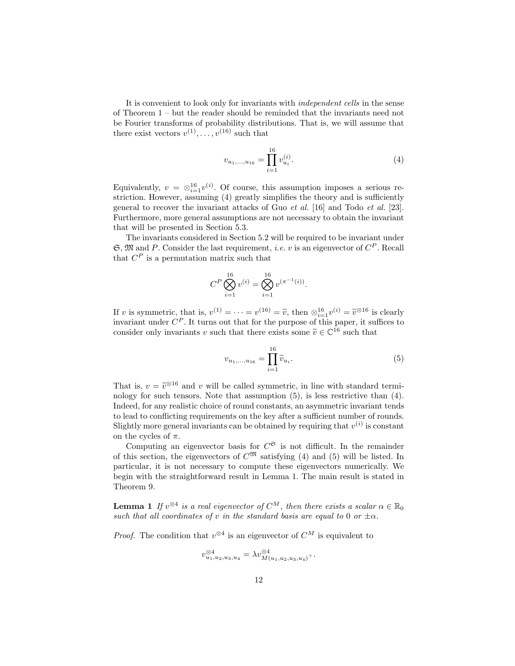It is convenient to look only for invariants with independent cells in the sense of Theorem 1 – but the reader should be reminded that the invariants need not be Fourier transforms of probability distributions. That is, we will assume that there exist vectors  $v^{(1)}, \ldots, v^{(16)}$  such that

$$
v_{u_1,\dots,u_{16}} = \prod_{i=1}^{16} v_{u_i}^{(i)}.
$$
\n(4)

Equivalently,  $v = \otimes_{i=1}^{16} v^{(i)}$ . Of course, this assumption imposes a serious restriction. However, assuming (4) greatly simplifies the theory and is sufficiently general to recover the invariant attacks of Guo et al. [16] and Todo et al. [23]. Furthermore, more general assumptions are not necessary to obtain the invariant that will be presented in Section 5.3.

The invariants considered in Section 5.2 will be required to be invariant under  $\mathfrak{S}, \mathfrak{M}$  and P. Consider the last requirement, *i.e.* v is an eigenvector of  $C^P$ . Recall that  $C^P$  is a permutation matrix such that

$$
C^{P} \bigotimes_{i=1}^{16} v^{(i)} = \bigotimes_{i=1}^{16} v^{(\pi^{-1}(i))}.
$$

If v is symmetric, that is,  $v^{(1)} = \cdots = v^{(16)} = \tilde{v}$ , then  $\otimes_{i=1}^{16} v^{(i)} = \tilde{v}^{\otimes 16}$  is clearly<br>invariant under  $C^P$ . It turns out that for the nurrose of this paper, it suffices to invariant under  $C^P$ . It turns out that for the purpose of this paper, it suffices to consider only invariants v such that there exists some  $\tilde{v} \in \mathbb{C}^{16}$  such that

$$
v_{u_1,...,u_{16}} = \prod_{i=1}^{16} \tilde{v}_{u_i}.
$$
 (5)

That is,  $v = \tilde{v}^{\otimes 16}$  and v will be called symmetric, in line with standard termi-<br>pology for such topsors. Note that assumption (5) is loss restrictive than (4) nology for such tensors. Note that assumption (5), is less restrictive than (4). Indeed, for any realistic choice of round constants, an asymmetric invariant tends to lead to conflicting requirements on the key after a sufficient number of rounds. Slightly more general invariants can be obtained by requiring that  $v^{(i)}$  is constant on the cycles of  $\pi$ .

Computing an eigenvector basis for  $C^{\mathfrak{S}}$  is not difficult. In the remainder of this section, the eigenvectors of  $C^{\mathfrak{M}}$  satisfying (4) and (5) will be listed. In particular, it is not necessary to compute these eigenvectors numerically. We begin with the straightforward result in Lemma 1. The main result is stated in Theorem 9.

**Lemma 1** If  $v^{\otimes 4}$  is a real eigenvector of  $C^M$ , then there exists a scalar  $\alpha \in \mathbb{R}_0$ such that all coordinates of v in the standard basis are equal to 0 or  $\pm \alpha$ .

*Proof.* The condition that  $v^{\otimes 4}$  is an eigenvector of  $C^M$  is equivalent to

$$
v_{u_1,u_2,u_3,u_4}^{\otimes 4} = \lambda v_{M(u_1,u_2,u_3,u_4)}^{\otimes 4}.
$$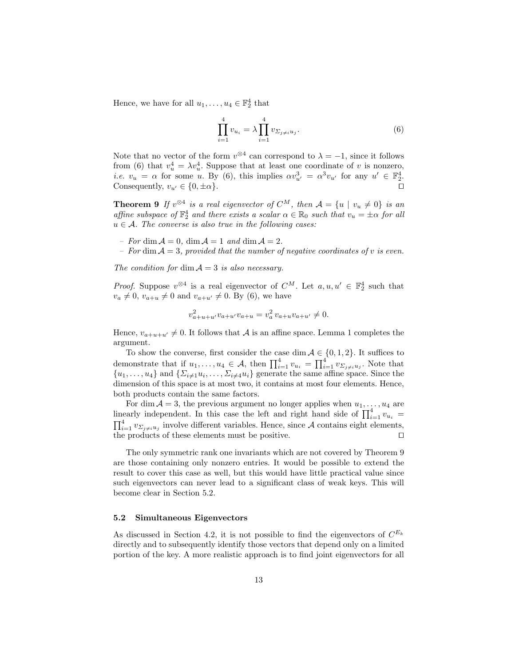Hence, we have for all  $u_1, \ldots, u_4 \in \mathbb{F}_2^4$  that

$$
\prod_{i=1}^{4} v_{u_i} = \lambda \prod_{i=1}^{4} v_{\Sigma_j \neq i} u_j.
$$
 (6)

Note that no vector of the form  $v^{\otimes 4}$  can correspond to  $\lambda = -1$ , since it follows from (6) that  $v_u^4 = \lambda v_u^4$ . Suppose that at least one coordinate of v is nonzero, *i.e.*  $v_u = \alpha$  for some u. By (6), this implies  $\alpha v_{u'}^3 = \alpha^3 v_{u'}$  for any  $u' \in \mathbb{F}_2^4$ . Consequently,  $v_{u'} \in \{0, \pm \alpha\}.$ 

**Theorem 9** If  $v^{\otimes 4}$  is a real eigenvector of  $C^M$ , then  $\mathcal{A} = \{u \mid v_u \neq 0\}$  is an affine subspace of  $\mathbb{F}_2^4$  and there exists a scalar  $\alpha \in \mathbb{R}_0$  such that  $v_u = \pm \alpha$  for all  $u \in \mathcal{A}$ . The converse is also true in the following cases:

– For dim  $A = 0$ , dim  $A = 1$  and dim  $A = 2$ .

– For dim  $A = 3$ , provided that the number of negative coordinates of v is even.

The condition for dim  $A = 3$  is also necessary.

*Proof.* Suppose  $v^{\otimes 4}$  is a real eigenvector of  $C^M$ . Let  $a, u, u' \in \mathbb{F}_2^4$  such that  $v_a \neq 0$ ,  $v_{a+u} \neq 0$  and  $v_{a+u'} \neq 0$ . By (6), we have

$$
v_{a+u+u'}^2 v_{a+u'} v_{a+u} = v_a^2 v_{a+u} v_{a+u'} \neq 0.
$$

Hence,  $v_{a+u+u'} \neq 0$ . It follows that A is an affine space. Lemma 1 completes the argument.

To show the converse, first consider the case dim  $A \in \{0, 1, 2\}$ . It suffices to demonstrate that if  $u_1, \ldots, u_4 \in \mathcal{A}$ , then  $\prod_{i=1}^4 v_{u_i} = \prod_{i=1}^4 v_{\Sigma_{j\neq i}u_j}$ . Note that  $\{u_1,\ldots,u_4\}$  and  $\{\Sigma_{i\neq 1}u_i,\ldots,\Sigma_{i\neq 4}u_i\}$  generate the same affine space. Since the dimension of this space is at most two, it contains at most four elements. Hence, both products contain the same factors.

For dim  $A = 3$ , the previous argument no longer applies when  $u_1, \ldots, u_4$  are linearly independent. In this case the left and right hand side of  $\prod_{i=1}^{4} v_{u_i} =$  $\prod_{i=1}^4 v_{\Sigma_{j\neq i}u_j}$  involve different variables. Hence, since A contains eight elements, the products of these elements must be positive.  $\Box$ 

The only symmetric rank one invariants which are not covered by Theorem 9 are those containing only nonzero entries. It would be possible to extend the result to cover this case as well, but this would have little practical value since such eigenvectors can never lead to a significant class of weak keys. This will become clear in Section 5.2.

### 5.2 Simultaneous Eigenvectors

As discussed in Section 4.2, it is not possible to find the eigenvectors of  $C^{E_k}$ directly and to subsequently identify those vectors that depend only on a limited portion of the key. A more realistic approach is to find joint eigenvectors for all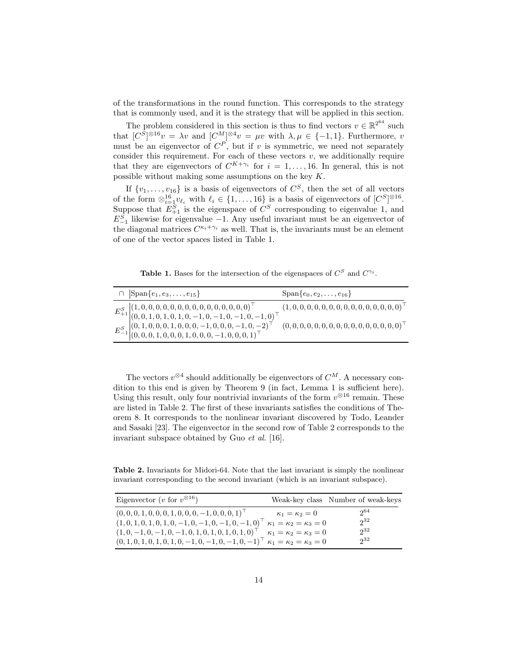of the transformations in the round function. This corresponds to the strategy that is commonly used, and it is the strategy that will be applied in this section.

The problem considered in this section is thus to find vectors  $v \in \mathbb{R}^{2^{64}}$  such that  $[C^{S}]^{\otimes 16}v = \lambda v$  and  $[C^{M}]^{\otimes 4}v = \mu v$  with  $\lambda, \mu \in \{-1, 1\}$ . Furthermore, v must be an eigenvector of  $C^P$ , but if v is symmetric, we need not separately consider this requirement. For each of these vectors  $v$ , we additionally require that they are eigenvectors of  $C^{K+\gamma_i}$  for  $i=1,\ldots,16$ . In general, this is not possible without making some assumptions on the key  $K$ .

If  $\{v_1, \ldots, v_{16}\}\$ is a basis of eigenvectors of  $C^S$ , then the set of all vectors of the form  $\otimes_{i=1}^{16} v_{\ell_i}$  with  $\ell_i \in \{1, \ldots, 16\}$  is a basis of eigenvectors of  $[C^S]^{\otimes 16}$ . Suppose that  $E_{+1}^S$  is the eigenspace of  $C^S$  corresponding to eigenvalue 1, and  $E_{-1}^S$  likewise for eigenvalue -1. Any useful invariant must be an eigenvector of the diagonal matrices  $C^{\kappa_i+\gamma_i}$  as well. That is, the invariants must be an element of one of the vector spaces listed in Table 1.

Table 1. Bases for the intersection of the eigenspaces of  $C^S$  and  $C^{\gamma_i}$ .

| $\cap$ $ Span\{e_1, e_3, \ldots, e_{15}\}\rangle$                                                                                                                                                                                                                                                                            | $Span\{e_0, e_2, \ldots, e_{16}\}\$ |
|------------------------------------------------------------------------------------------------------------------------------------------------------------------------------------------------------------------------------------------------------------------------------------------------------------------------------|-------------------------------------|
| $\begin{array}{c} E^S_{+1} \left  (1,0,0,0,0,0,0,0,0,0,0,0,0,0,0,0,0)^\top \right. \\ \left. (0,0,1,0,1,0,1,0,-1,0,-1,0,-1,0,-1,0)^\top \right. \\ \left. E^S_{-1} \right  \left( \begin{matrix} (0,1,0,0,0,1,0,0,0,-1,0,0,0,-1,0,-2)^\top \\ (0,0,0,1,0,0,0,1,0,0,0,-1,0,0,0,1)^\top \end{matrix} \right)^\top \end{array}$ |                                     |
|                                                                                                                                                                                                                                                                                                                              |                                     |
|                                                                                                                                                                                                                                                                                                                              |                                     |
|                                                                                                                                                                                                                                                                                                                              |                                     |

The vectors  $v^{\otimes 4}$  should additionally be eigenvectors of  $C^M$ . A necessary condition to this end is given by Theorem 9 (in fact, Lemma 1 is sufficient here). Using this result, only four nontrivial invariants of the form  $v^{\otimes 16}$  remain. These are listed in Table 2. The first of these invariants satisfies the conditions of Theorem 8. It corresponds to the nonlinear invariant discovered by Todo, Leander and Sasaki [23]. The eigenvector in the second row of Table 2 corresponds to the invariant subspace obtained by Guo et al. [16].

Table 2. Invariants for Midori-64. Note that the last invariant is simply the nonlinear invariant corresponding to the second invariant (which is an invariant subspace).

| Eigenvector ( <i>v</i> for $v^{\otimes 16}$ )                                               |                                      | Weak-key class Number of weak-keys |
|---------------------------------------------------------------------------------------------|--------------------------------------|------------------------------------|
| $(0, 0, 0, 1, 0, 0, 0, 1, 0, 0, 0, -1, 0, 0, 0, 1)$                                         | $\kappa_1 = \kappa_2 = 0$            | $2^{64}$                           |
| $(1,0,1,0,1,0,1,0,-1,0,-1,0,-1,0,-1,0)$ $\kappa_1 = \kappa_2 = \kappa_3 = 0$                |                                      | $2^{32}$                           |
| $(1,0,-1,0,-1,0,-1,0,1,0,1,0,1,0,1,0)$ <sup>T</sup>                                         | $\kappa_1 = \kappa_2 = \kappa_3 = 0$ | $2^{32}$                           |
| $(0, 1, 0, 1, 0, 1, 0, 1, 0, -1, 0, -1, 0, -1, 0, -1)$ $\kappa_1 = \kappa_2 = \kappa_3 = 0$ |                                      | $2^{32}$                           |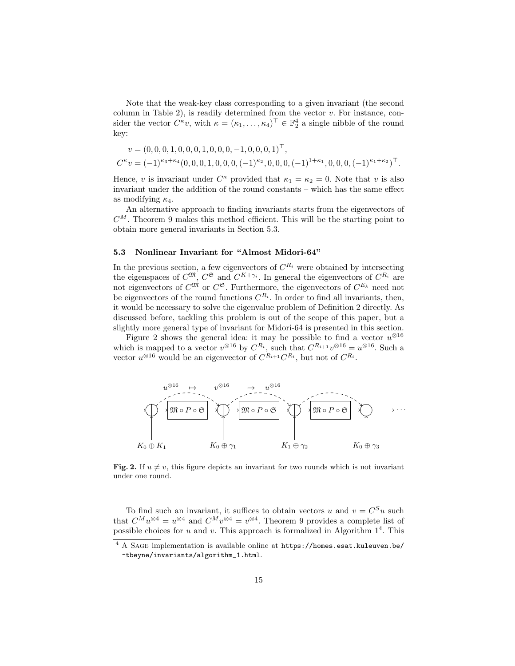Note that the weak-key class corresponding to a given invariant (the second column in Table 2), is readily determined from the vector  $v$ . For instance, consider the vector  $C^{\kappa}v$ , with  $\kappa = (\kappa_1, \ldots, \kappa_4)^\top \in \mathbb{F}_2^4$  a single nibble of the round key:

$$
v = (0, 0, 0, 1, 0, 0, 0, 1, 0, 0, 0, -1, 0, 0, 0, 1)^{\top},
$$
  

$$
C^{\kappa}v = (-1)^{\kappa_3 + \kappa_4} (0, 0, 0, 1, 0, 0, 0, (-1)^{\kappa_2}, 0, 0, 0, (-1)^{1 + \kappa_1}, 0, 0, 0, (-1)^{\kappa_1 + \kappa_2})^{\top}.
$$

Hence, v is invariant under  $C^{\kappa}$  provided that  $\kappa_1 = \kappa_2 = 0$ . Note that v is also invariant under the addition of the round constants – which has the same effect as modifying  $\kappa_4$ .

An alternative approach to finding invariants starts from the eigenvectors of  $C^M$ . Theorem 9 makes this method efficient. This will be the starting point to obtain more general invariants in Section 5.3.

## 5.3 Nonlinear Invariant for "Almost Midori-64"

In the previous section, a few eigenvectors of  $C^{R_i}$  were obtained by intersecting the eigenspaces of  $C^{\mathfrak{M}}, C^{\mathfrak{S}}$  and  $C^{K+\gamma_i}$ . In general the eigenvectors of  $C^{R_i}$  are not eigenvectors of  $C^{\mathfrak{M}}$  or  $C^{\mathfrak{S}}$ . Furthermore, the eigenvectors of  $C^{E_k}$  need not be eigenvectors of the round functions  $C^{R_i}$ . In order to find all invariants, then, it would be necessary to solve the eigenvalue problem of Definition 2 directly. As discussed before, tackling this problem is out of the scope of this paper, but a slightly more general type of invariant for Midori-64 is presented in this section.

Figure 2 shows the general idea: it may be possible to find a vector  $u^{\otimes 16}$ which is mapped to a vector  $v^{\otimes 16}$  by  $C^{R_i}$ , such that  $C^{R_{i+1}}v^{\otimes 16} = u^{\otimes 16}$ . Such a vector  $u^{\otimes 16}$  would be an eigenvector of  $C^{R_{i+1}}C^{R_i}$ , but not of  $C^{R_i}$ .



Fig. 2. If  $u \neq v$ , this figure depicts an invariant for two rounds which is not invariant under one round.

To find such an invariant, it suffices to obtain vectors u and  $v = C<sup>S</sup>u$  such that  $C^M u^{\otimes 4} = u^{\otimes 4}$  and  $C^M v^{\otimes 4} = v^{\otimes 4}$ . Theorem 9 provides a complete list of possible choices for  $u$  and  $v$ . This approach is formalized in Algorithm  $1<sup>4</sup>$ . This

<sup>4</sup> A Sage implementation is available online at https://homes.esat.kuleuven.be/ ~tbeyne/invariants/algorithm\_1.html.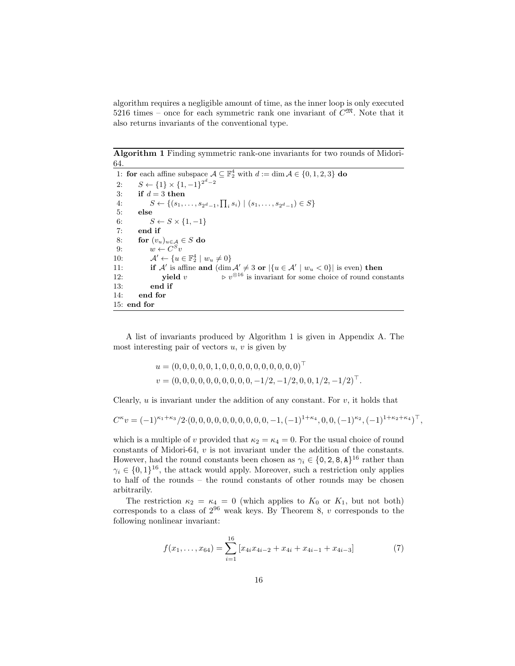algorithm requires a negligible amount of time, as the inner loop is only executed 5216 times – once for each symmetric rank one invariant of  $C^{\mathfrak{M}}$ . Note that it also returns invariants of the conventional type.

Algorithm 1 Finding symmetric rank-one invariants for two rounds of Midori-64.

1: for each affine subspace  $\mathcal{A} \subseteq \mathbb{F}_2^4$  with  $d := \dim \mathcal{A} \in \{0, 1, 2, 3\}$  do 2:  $S \leftarrow \{1\} \times \{1, -1\}^{2^d - 2}$ 3: if  $d = 3$  then 4:  $S \leftarrow \{(s_1, \ldots, s_{2^d-1}, \prod_i s_i) \mid (s_1, \ldots, s_{2^d-1}) \in S\}$ 5: else 6:  $S \leftarrow S \times \{1, -1\}$ 7: end if 8: for  $(v_u)_{u \in \mathcal{A}} \in S$  do 9:  $w \leftarrow C^S v$  $10:$  $y' \leftarrow \{u \in \mathbb{F}_2^4 \mid w_u \neq 0\}$ 11: if A' is affine and  $(\dim \mathcal{A}' \neq 3 \text{ or } |\{u \in \mathcal{A}' \mid w_u < 0\}|$  is even) then 12: **yield** v  $\triangleright v^{\otimes 16}$  is invariant for some choice of round constants 13: end if 14: end for 15: end for

A list of invariants produced by Algorithm 1 is given in Appendix A. The most interesting pair of vectors  $u, v$  is given by

$$
u = (0, 0, 0, 0, 0, 1, 0, 0, 0, 0, 0, 0, 0, 0, 0, 0)^{\top}
$$
  

$$
v = (0, 0, 0, 0, 0, 0, 0, 0, 0, 0, -1/2, -1/2, 0, 0, 1/2, -1/2)^{\top}.
$$

Clearly,  $u$  is invariant under the addition of any constant. For  $v$ , it holds that

$$
C^{\kappa}v = (-1)^{\kappa_1 + \kappa_3}/2 \cdot (0, 0, 0, 0, 0, 0, 0, 0, 0, 0, -1, (-1)^{1 + \kappa_4}, 0, 0, (-1)^{\kappa_2}, (-1)^{1 + \kappa_2 + \kappa_4})^{\top},
$$

which is a multiple of v provided that  $\kappa_2 = \kappa_4 = 0$ . For the usual choice of round constants of Midori-64, v is not invariant under the addition of the constants. However, had the round constants been chosen as  $\gamma_i \in \{0, 2, 8, A\}^{16}$  rather than  $\gamma_i \in \{0,1\}^{16}$ , the attack would apply. Moreover, such a restriction only applies to half of the rounds – the round constants of other rounds may be chosen arbitrarily.

The restriction  $\kappa_2 = \kappa_4 = 0$  (which applies to  $K_0$  or  $K_1$ , but not both) corresponds to a class of  $2^{96}$  weak keys. By Theorem 8, v corresponds to the following nonlinear invariant:

$$
f(x_1, \ldots, x_{64}) = \sum_{i=1}^{16} \left[ x_{4i} x_{4i-2} + x_{4i} + x_{4i-1} + x_{4i-3} \right] \tag{7}
$$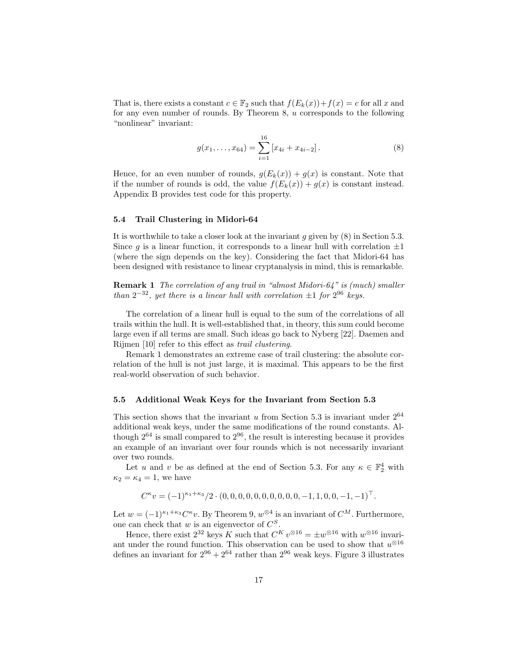That is, there exists a constant  $c \in \mathbb{F}_2$  such that  $f(E_k(x)) + f(x) = c$  for all x and for any even number of rounds. By Theorem 8, u corresponds to the following "nonlinear" invariant:

$$
g(x_1, \ldots, x_{64}) = \sum_{i=1}^{16} [x_{4i} + x_{4i-2}].
$$
 (8)

Hence, for an even number of rounds,  $g(E_k(x)) + g(x)$  is constant. Note that if the number of rounds is odd, the value  $f(E_k(x)) + g(x)$  is constant instead. Appendix B provides test code for this property.

#### 5.4 Trail Clustering in Midori-64

It is worthwhile to take a closer look at the invariant  $g$  given by  $(8)$  in Section 5.3. Since q is a linear function, it corresponds to a linear hull with correlation  $\pm 1$ (where the sign depends on the key). Considering the fact that Midori-64 has been designed with resistance to linear cryptanalysis in mind, this is remarkable.

Remark 1 The correlation of any trail in "almost Midori-64" is (much) smaller than  $2^{-32}$ , yet there is a linear hull with correlation  $\pm 1$  for  $2^{96}$  keys.

The correlation of a linear hull is equal to the sum of the correlations of all trails within the hull. It is well-established that, in theory, this sum could become large even if all terms are small. Such ideas go back to Nyberg [22]. Daemen and Rijmen [10] refer to this effect as trail clustering.

Remark 1 demonstrates an extreme case of trail clustering: the absolute correlation of the hull is not just large, it is maximal. This appears to be the first real-world observation of such behavior.

#### 5.5 Additional Weak Keys for the Invariant from Section 5.3

This section shows that the invariant  $u$  from Section 5.3 is invariant under  $2^{64}$ additional weak keys, under the same modifications of the round constants. Although  $2^{64}$  is small compared to  $2^{96}$ , the result is interesting because it provides an example of an invariant over four rounds which is not necessarily invariant over two rounds.

Let u and v be as defined at the end of Section 5.3. For any  $\kappa \in \mathbb{F}_2^4$  with  $\kappa_2 = \kappa_4 = 1$ , we have

$$
C^{\kappa}v = (-1)^{\kappa_1 + \kappa_3}/2 \cdot (0, 0, 0, 0, 0, 0, 0, 0, 0, 0, -1, 1, 0, 0, -1, -1)^{\top}.
$$

Let  $w = (-1)^{\kappa_1 + \kappa_3} C^{\kappa} v$ . By Theorem 9,  $w^{\otimes 4}$  is an invariant of  $C^M$ . Furthermore, one can check that  $w$  is an eigenvector of  $C^S$ .

Hence, there exist  $2^{32}$  keys K such that  $C^{K} v^{\otimes 16} = \pm w^{\otimes 16}$  with  $w^{\otimes 16}$  invariant under the round function. This observation can be used to show that  $u^{\otimes 16}$ defines an invariant for  $2^{96} + 2^{64}$  rather than  $2^{96}$  weak keys. Figure 3 illustrates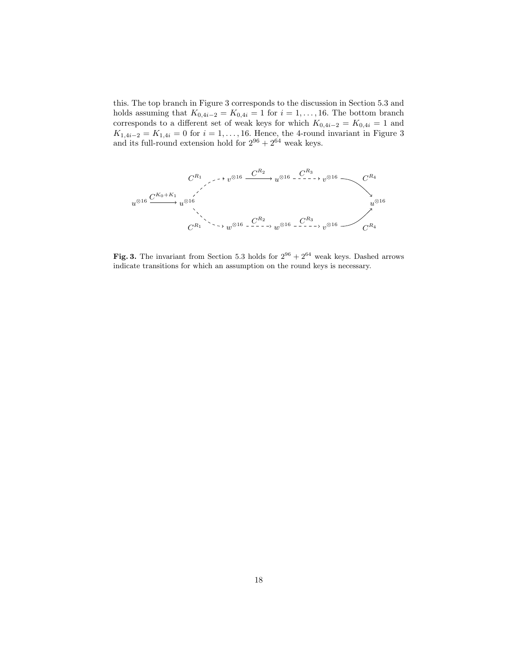this. The top branch in Figure 3 corresponds to the discussion in Section 5.3 and holds assuming that  $K_{0,4i-2} = K_{0,4i} = 1$  for  $i = 1, \ldots, 16$ . The bottom branch corresponds to a different set of weak keys for which  $K_{0,4i-2} = K_{0,4i} = 1$  and  $K_{1,4i-2} = K_{1,4i} = 0$  for  $i = 1, ..., 16$ . Hence, the 4-round invariant in Figure 3 and its full-round extension hold for  $2^{96} + 2^{64}$  weak keys.



Fig. 3. The invariant from Section 5.3 holds for  $2^{96} + 2^{64}$  weak keys. Dashed arrows indicate transitions for which an assumption on the round keys is necessary.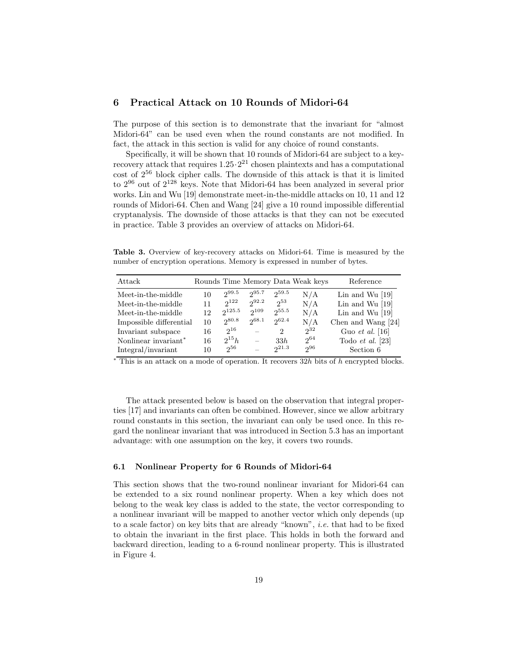# 6 Practical Attack on 10 Rounds of Midori-64

The purpose of this section is to demonstrate that the invariant for "almost Midori-64" can be used even when the round constants are not modified. In fact, the attack in this section is valid for any choice of round constants.

Specifically, it will be shown that 10 rounds of Midori-64 are subject to a keyrecovery attack that requires  $1.25 \cdot 2^{21}$  chosen plaintexts and has a computational cost of  $2^{56}$  block cipher calls. The downside of this attack is that it is limited to  $2^{96}$  out of  $2^{128}$  keys. Note that Midori-64 has been analyzed in several prior works. Lin and Wu [19] demonstrate meet-in-the-middle attacks on 10, 11 and 12 rounds of Midori-64. Chen and Wang [24] give a 10 round impossible differential cryptanalysis. The downside of those attacks is that they can not be executed in practice. Table 3 provides an overview of attacks on Midori-64.

Table 3. Overview of key-recovery attacks on Midori-64. Time is measured by the number of encryption operations. Memory is expressed in number of bytes.

| Attack                           |    |             |                          |                             | Rounds Time Memory Data Weak keys | Reference                 |
|----------------------------------|----|-------------|--------------------------|-----------------------------|-----------------------------------|---------------------------|
| Meet-in-the-middle               | 10 | $2^{99.5}$  | 295.7                    | 259.5                       | N/A                               | Lin and Wu $[19]$         |
| Meet-in-the-middle               | 11 | $2^{122}$   | $2^{92.2}$               | $2^{53}$                    | N/A                               | Lin and Wu $[19]$         |
| Meet-in-the-middle               | 12 | $2^{125.5}$ | $2^{109}$                | $2^{55.5}$                  | N/A                               | Lin and Wu $[19]$         |
| Impossible differential          | 10 | 280.8       | 268.1                    | 2062.4                      | N/A                               | Chen and Wang [24]        |
| Invariant subspace               | 16 | $2^{16}$    |                          | $\mathcal{D}_{\mathcal{L}}$ | $2^{32}$                          | Guo <i>et al.</i> [16]    |
| Nonlinear invariant <sup>*</sup> | 16 | $2^{15}h$   | $\overline{\phantom{m}}$ | 33h                         | $2^{64}$                          | Todo <i>et al.</i> $[23]$ |
| Integral/invariant               | 10 | $2^{56}$    | $\equiv$                 | $2^{21.3}$                  | $2^{96}$                          | Section 6                 |

 $*$  This is an attack on a mode of operation. It recovers  $32h$  bits of h encrypted blocks.

The attack presented below is based on the observation that integral properties [17] and invariants can often be combined. However, since we allow arbitrary round constants in this section, the invariant can only be used once. In this regard the nonlinear invariant that was introduced in Section 5.3 has an important advantage: with one assumption on the key, it covers two rounds.

#### 6.1 Nonlinear Property for 6 Rounds of Midori-64

This section shows that the two-round nonlinear invariant for Midori-64 can be extended to a six round nonlinear property. When a key which does not belong to the weak key class is added to the state, the vector corresponding to a nonlinear invariant will be mapped to another vector which only depends (up to a scale factor) on key bits that are already "known", i.e. that had to be fixed to obtain the invariant in the first place. This holds in both the forward and backward direction, leading to a 6-round nonlinear property. This is illustrated in Figure 4.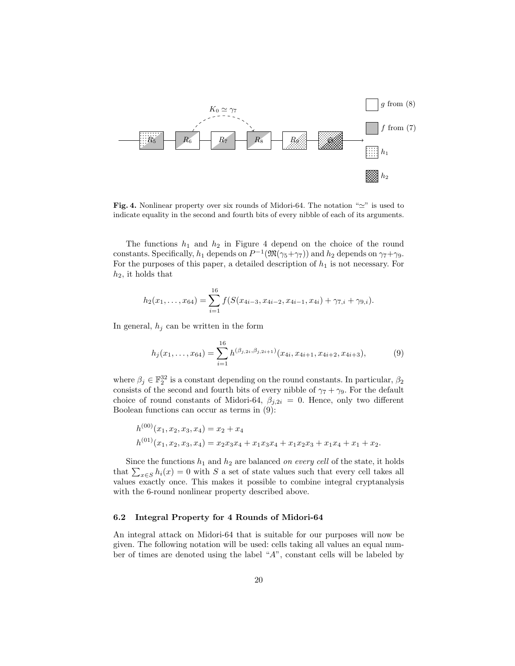

Fig. 4. Nonlinear property over six rounds of Midori-64. The notation " $\simeq$ " is used to indicate equality in the second and fourth bits of every nibble of each of its arguments.

The functions  $h_1$  and  $h_2$  in Figure 4 depend on the choice of the round constants. Specifically,  $h_1$  depends on  $P^{-1}(\mathfrak{M}(\gamma_5+\gamma_7))$  and  $h_2$  depends on  $\gamma_7+\gamma_9$ . For the purposes of this paper, a detailed description of  $h_1$  is not necessary. For  $h_2$ , it holds that

$$
h_2(x_1,\ldots,x_{64})=\sum_{i=1}^{16}f(S(x_{4i-3},x_{4i-2},x_{4i-1},x_{4i})+\gamma_{7,i}+\gamma_{9,i}).
$$

In general,  $h_i$  can be written in the form

$$
h_j(x_1,\ldots,x_{64}) = \sum_{i=1}^{16} h^{(\beta_{j,2i},\beta_{j,2i+1})}(x_{4i},x_{4i+1},x_{4i+2},x_{4i+3}),
$$
 (9)

where  $\beta_j \in \mathbb{F}_2^{32}$  is a constant depending on the round constants. In particular,  $\beta_2$ consists of the second and fourth bits of every nibble of  $\gamma_7 + \gamma_9$ . For the default choice of round constants of Midori-64,  $\beta_{j,2i} = 0$ . Hence, only two different Boolean functions can occur as terms in (9):

$$
h^{(00)}(x_1, x_2, x_3, x_4) = x_2 + x_4
$$
  
\n
$$
h^{(01)}(x_1, x_2, x_3, x_4) = x_2x_3x_4 + x_1x_3x_4 + x_1x_2x_3 + x_1x_4 + x_1 + x_2.
$$

Since the functions  $h_1$  and  $h_2$  are balanced on every cell of the state, it holds that  $\sum_{x \in S} h_i(x) = 0$  with S a set of state values such that every cell takes all values exactly once. This makes it possible to combine integral cryptanalysis with the 6-round nonlinear property described above.

## 6.2 Integral Property for 4 Rounds of Midori-64

An integral attack on Midori-64 that is suitable for our purposes will now be given. The following notation will be used: cells taking all values an equal number of times are denoted using the label "A", constant cells will be labeled by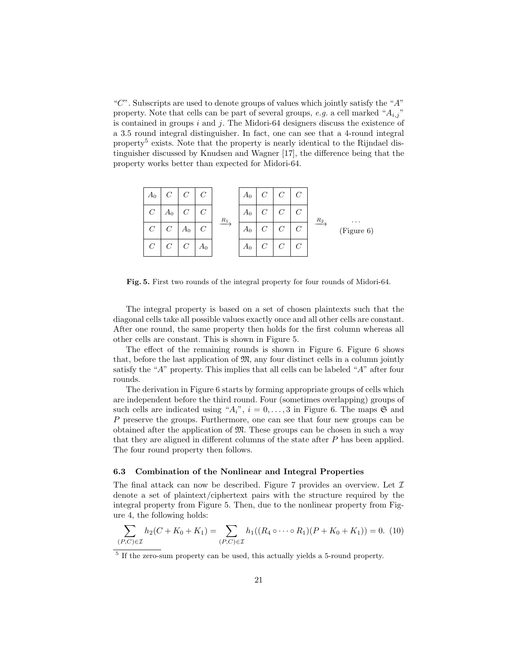"C". Subscripts are used to denote groups of values which jointly satisfy the " $A$ " property. Note that cells can be part of several groups, e.g. a cell marked " $A_{i,j}$ " is contained in groups  $i$  and  $j$ . The Midori-64 designers discuss the existence of a 3.5 round integral distinguisher. In fact, one can see that a 4-round integral property<sup>5</sup> exists. Note that the property is nearly identical to the Rijndael distinguisher discussed by Knudsen and Wagner [17], the difference being that the property works better than expected for Midori-64.



Fig. 5. First two rounds of the integral property for four rounds of Midori-64.

The integral property is based on a set of chosen plaintexts such that the diagonal cells take all possible values exactly once and all other cells are constant. After one round, the same property then holds for the first column whereas all other cells are constant. This is shown in Figure 5.

The effect of the remaining rounds is shown in Figure 6. Figure 6 shows that, before the last application of  $\mathfrak{M}$ , any four distinct cells in a column jointly satisfy the "A" property. This implies that all cells can be labeled "A" after four rounds.

The derivation in Figure 6 starts by forming appropriate groups of cells which are independent before the third round. Four (sometimes overlapping) groups of such cells are indicated using " $A_i$ ",  $i = 0, \ldots, 3$  in Figure 6. The maps  $\mathfrak{S}$  and P preserve the groups. Furthermore, one can see that four new groups can be obtained after the application of  $\mathfrak{M}$ . These groups can be chosen in such a way that they are aligned in different columns of the state after P has been applied. The four round property then follows.

#### 6.3 Combination of the Nonlinear and Integral Properties

The final attack can now be described. Figure 7 provides an overview. Let  $\mathcal I$ denote a set of plaintext/ciphertext pairs with the structure required by the integral property from Figure 5. Then, due to the nonlinear property from Figure 4, the following holds:

$$
\sum_{(P,C)\in\mathcal{I}} h_2(C+K_0+K_1) = \sum_{(P,C)\in\mathcal{I}} h_1((R_4\circ\cdots\circ R_1)(P+K_0+K_1)) = 0.
$$
 (10)

<sup>5</sup> If the zero-sum property can be used, this actually yields a 5-round property.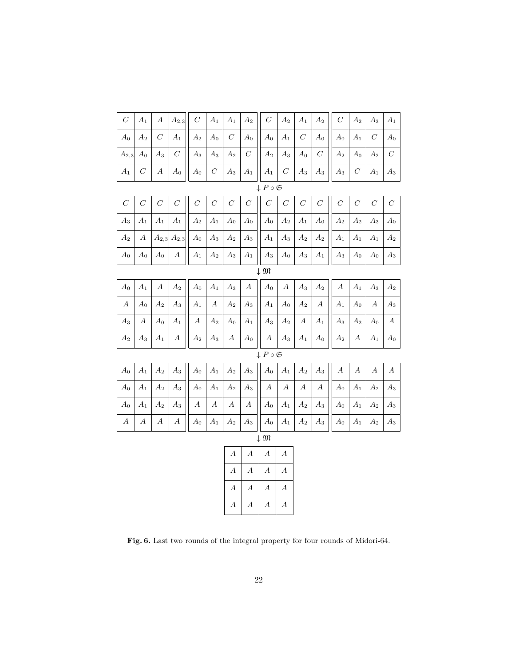|  | $\Big \begin{array}{c c c c c c c} A_0 & A_2 & C & A_1 & A_2 & A_0 & C & A_0 & A_1 & C & A_0 & A_1 & C & A_0 \ \end{array} \Big  \begin{array}{c c c c c} A_0 & A_1 & B_1 & A_0 & A_1 & C & A_0 \ \end{array} \Big  \begin{array}{c c c c} A_0 & A_1 & B_1 & B_1 & A_1 & C & A_0 \ \end{array} \Big  \begin{array}{c c c c} A_1 & A_2 & B_2 & A_2 & A_3 \ \end{array} \Big  \begin{array}{c$                        |  |  |  |  |  |  |
|--|---------------------------------------------------------------------------------------------------------------------------------------------------------------------------------------------------------------------------------------------------------------------------------------------------------------------------------------------------------------------------------------------------------------------|--|--|--|--|--|--|
|  | $\left  \begin{array}{c c c c c c c} A_2 & A_0 & A_3 & C \end{array} \right  \left. \begin{array}{c c c c c c} A_3 & A_3 & A_2 & C \end{array} \right  \left. \begin{array}{c c c c} A_2 & A_3 & A_0 & C \end{array} \right  \left. \begin{array}{c c c c} A_2 & A_0 & A_2 & C \end{array} \right  \left. \begin{array}{c c c c} A_1 & A_2 & A_3 & A_4 & A_5 \end{array} \right  \left. \begin{array}{c c c c} A_2$ |  |  |  |  |  |  |
|  |                                                                                                                                                                                                                                                                                                                                                                                                                     |  |  |  |  |  |  |

| μ | ີ |
|---|---|
|   |   |

|  |  |  |  | $\begin{array}{ c c c c c c c c c c c } \hline A_2 & A & A_{2,3} & A_2 & A_3 & A_2 & A_4 & A_5 & A_6 & A_7 & A_8 & A_9 & A_1 & A_1 & A_1 & A_2 \ \hline \end{array}$ |  |  |  |  |
|--|--|--|--|----------------------------------------------------------------------------------------------------------------------------------------------------------------------|--|--|--|--|
|  |  |  |  |                                                                                                                                                                      |  |  |  |  |

 $\downarrow$   ${\mathfrak M}$ 

|  |  | $\Big \begin{array}{c c c c c c c} A_0 & A_1 & A_2 & A_3 & A_1 & A_3 & A_4 & A_5 & A_6 & A_7 & A_8 & A_2 & A_4 & A_5 \ \end{array}\Big $ |  |  |  |  |  |  |
|--|--|------------------------------------------------------------------------------------------------------------------------------------------|--|--|--|--|--|--|
|  |  |                                                                                                                                          |  |  |  |  |  |  |
|  |  |                                                                                                                                          |  |  |  |  |  |  |
|  |  |                                                                                                                                          |  |  |  |  |  |  |

 $\downarrow P \circ \mathfrak{S}$ 

|  |  | $\Big \;A_{0} \;\Big \;A_{1} \;\Big \;A_{2} \;\Big \;A_{3} \;\Big \Big \;A_{0} \;\Big \;A_{1} \;\Big \;A_{2} \;\Big \;A_{3} \;\Big \Big \;A_{0} \;\Big \;A_{1} \;\Big \;A_{2} \;\Big \;A_{3} \;\Big \Big \;A \;\Big \;A \;\Big \;A \;\Big \;A \;\Big \;A \;\Big \;A \;\Big \;A \;\Big \;A$ |  |  |  |  |  |  |
|--|--|--------------------------------------------------------------------------------------------------------------------------------------------------------------------------------------------------------------------------------------------------------------------------------------------|--|--|--|--|--|--|
|  |  |                                                                                                                                                                                                                                                                                            |  |  |  |  |  |  |
|  |  |                                                                                                                                                                                                                                                                                            |  |  |  |  |  |  |
|  |  |                                                                                                                                                                                                                                                                                            |  |  |  |  |  |  |

| I<br>. .<br>۰.<br>٧ |
|---------------------|
|                     |

| $\overline{A}$   | А                | А | $\boldsymbol{A}$ |
|------------------|------------------|---|------------------|
| $\boldsymbol{A}$ | $\boldsymbol{A}$ | А | А                |
| А                | А                | А | $\boldsymbol{A}$ |
| А                | А                | А | А                |

Fig. 6. Last two rounds of the integral property for four rounds of Midori-64.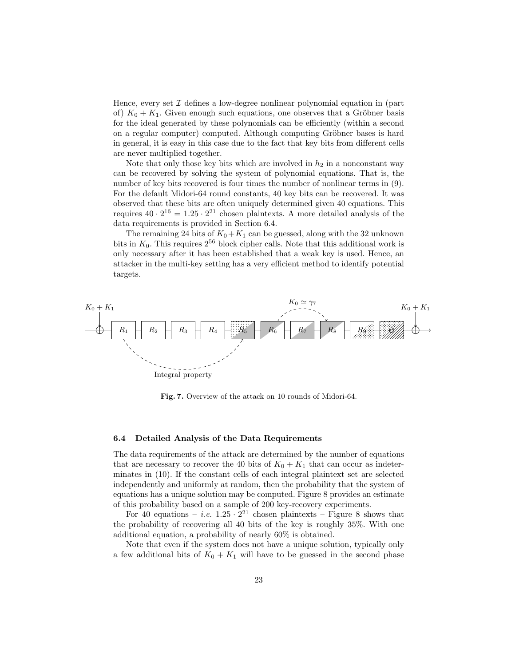Hence, every set  $\mathcal I$  defines a low-degree nonlinear polynomial equation in (part of)  $K_0 + K_1$ . Given enough such equations, one observes that a Gröbner basis for the ideal generated by these polynomials can be efficiently (within a second on a regular computer) computed. Although computing Gröbner bases is hard in general, it is easy in this case due to the fact that key bits from different cells are never multiplied together.

Note that only those key bits which are involved in  $h_2$  in a nonconstant way can be recovered by solving the system of polynomial equations. That is, the number of key bits recovered is four times the number of nonlinear terms in (9). For the default Midori-64 round constants, 40 key bits can be recovered. It was observed that these bits are often uniquely determined given 40 equations. This requires  $40 \cdot 2^{16} = 1.25 \cdot 2^{21}$  chosen plaintexts. A more detailed analysis of the data requirements is provided in Section 6.4.

The remaining 24 bits of  $K_0+K_1$  can be guessed, along with the 32 unknown bits in  $K_0$ . This requires  $2^{56}$  block cipher calls. Note that this additional work is only necessary after it has been established that a weak key is used. Hence, an attacker in the multi-key setting has a very efficient method to identify potential targets.



Fig. 7. Overview of the attack on 10 rounds of Midori-64.

#### 6.4 Detailed Analysis of the Data Requirements

The data requirements of the attack are determined by the number of equations that are necessary to recover the 40 bits of  $K_0 + K_1$  that can occur as indeterminates in (10). If the constant cells of each integral plaintext set are selected independently and uniformly at random, then the probability that the system of equations has a unique solution may be computed. Figure 8 provides an estimate of this probability based on a sample of 200 key-recovery experiments.

For 40 equations – *i.e.*  $1.25 \cdot 2^{21}$  chosen plaintexts – Figure 8 shows that the probability of recovering all 40 bits of the key is roughly 35%. With one additional equation, a probability of nearly 60% is obtained.

Note that even if the system does not have a unique solution, typically only a few additional bits of  $K_0 + K_1$  will have to be guessed in the second phase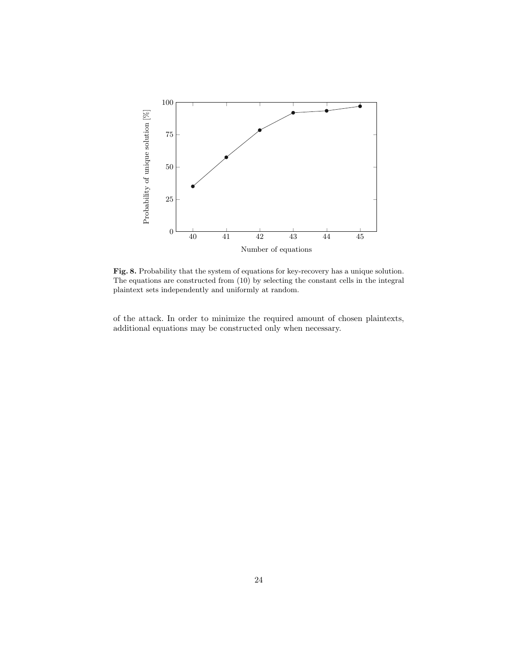

Fig. 8. Probability that the system of equations for key-recovery has a unique solution. The equations are constructed from (10) by selecting the constant cells in the integral plaintext sets independently and uniformly at random.

of the attack. In order to minimize the required amount of chosen plaintexts, additional equations may be constructed only when necessary.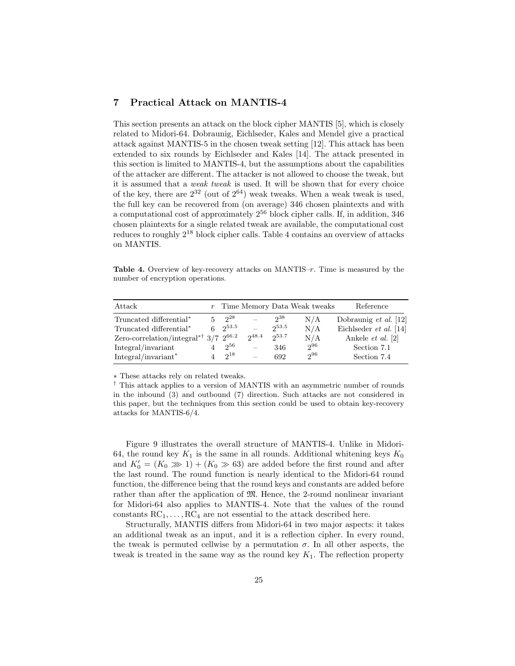# 7 Practical Attack on MANTIS-4

This section presents an attack on the block cipher MANTIS [5], which is closely related to Midori-64. Dobraunig, Eichlseder, Kales and Mendel give a practical attack against MANTIS-5 in the chosen tweak setting [12]. This attack has been extended to six rounds by Eichlseder and Kales [14]. The attack presented in this section is limited to MANTIS-4, but the assumptions about the capabilities of the attacker are different. The attacker is not allowed to choose the tweak, but it is assumed that a weak tweak is used. It will be shown that for every choice of the key, there are  $2^{32}$  (out of  $2^{64}$ ) weak tweaks. When a weak tweak is used, the full key can be recovered from (on average) 346 chosen plaintexts and with a computational cost of approximately  $2^{56}$  block cipher calls. If, in addition, 346 chosen plaintexts for a single related tweak are available, the computational cost reduces to roughly  $2^{18}$  block cipher calls. Table 4 contains an overview of attacks on MANTIS.

Table 4. Overview of key-recovery attacks on MANTIS–r. Time is measured by the number of encryption operations.

| Attack                                                   |                    |                   |          | $r$ Time Memory Data Weak tweaks | Reference                    |
|----------------------------------------------------------|--------------------|-------------------|----------|----------------------------------|------------------------------|
| Truncated differential <sup>*</sup>                      | 5 $2^{28}$         |                   | $2^{38}$ | N/A                              | Dobraunig <i>et al.</i> [12] |
| Truncated differential*                                  | $6 \quad 2^{53.5}$ |                   | 253.5    | N/A                              | Eichlseder $et \ al.$ [14]   |
| Zero-correlation/integral* <sup>†</sup> $3/7$ $2^{66.2}$ |                    | 248.4             | 253.7    | N/A                              | Ankele <i>et al.</i> [2]     |
| Integral/invariant                                       | $2^{56}$           |                   | 346      | $2^{96}$                         | Section 7.1                  |
| Integral/invariant*                                      | $2^{18}$           | $\qquad \qquad -$ | 692      | $2^{96}$                         | Section 7.4                  |

∗ These attacks rely on related tweaks.

† This attack applies to a version of MANTIS with an asymmetric number of rounds in the inbound (3) and outbound (7) direction. Such attacks are not considered in this paper, but the techniques from this section could be used to obtain key-recovery attacks for MANTIS-6/4.

Figure 9 illustrates the overall structure of MANTIS-4. Unlike in Midori-64, the round key  $K_1$  is the same in all rounds. Additional whitening keys  $K_0$ and  $K'_0 = (K_0 \gg 1) + (K_0 \gg 63)$  are added before the first round and after the last round. The round function is nearly identical to the Midori-64 round function, the difference being that the round keys and constants are added before rather than after the application of  $\mathfrak{M}$ . Hence, the 2-round nonlinear invariant for Midori-64 also applies to MANTIS-4. Note that the values of the round constants  $RC_1, \ldots, RC_4$  are not essential to the attack described here.

Structurally, MANTIS differs from Midori-64 in two major aspects: it takes an additional tweak as an input, and it is a reflection cipher. In every round, the tweak is permuted cellwise by a permutation  $\sigma$ . In all other aspects, the tweak is treated in the same way as the round key  $K_1$ . The reflection property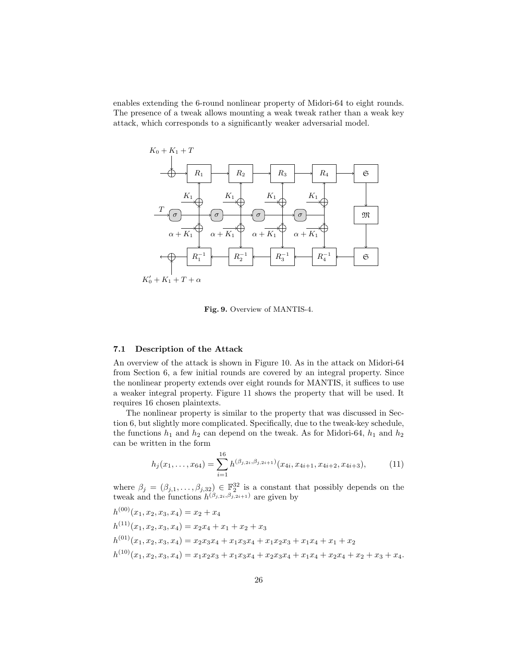enables extending the 6-round nonlinear property of Midori-64 to eight rounds. The presence of a tweak allows mounting a weak tweak rather than a weak key attack, which corresponds to a significantly weaker adversarial model.



Fig. 9. Overview of MANTIS-4.

#### 7.1 Description of the Attack

An overview of the attack is shown in Figure 10. As in the attack on Midori-64 from Section 6, a few initial rounds are covered by an integral property. Since the nonlinear property extends over eight rounds for MANTIS, it suffices to use a weaker integral property. Figure 11 shows the property that will be used. It requires 16 chosen plaintexts.

The nonlinear property is similar to the property that was discussed in Section 6, but slightly more complicated. Specifically, due to the tweak-key schedule, the functions  $h_1$  and  $h_2$  can depend on the tweak. As for Midori-64,  $h_1$  and  $h_2$ can be written in the form

$$
h_j(x_1,\ldots,x_{64}) = \sum_{i=1}^{16} h^{(\beta_{j,2i},\beta_{j,2i+1})}(x_{4i},x_{4i+1},x_{4i+2},x_{4i+3}),
$$
 (11)

where  $\beta_j = (\beta_{j,1}, \ldots, \beta_{j,32}) \in \mathbb{F}_2^{32}$  is a constant that possibly depends on the tweak and the functions  $h^{(\beta_{j,2i},\beta_{j,2i+1})}$  are given by

$$
h^{(00)}(x_1, x_2, x_3, x_4) = x_2 + x_4
$$
  
\n
$$
h^{(11)}(x_1, x_2, x_3, x_4) = x_2x_4 + x_1 + x_2 + x_3
$$
  
\n
$$
h^{(01)}(x_1, x_2, x_3, x_4) = x_2x_3x_4 + x_1x_3x_4 + x_1x_2x_3 + x_1x_4 + x_1 + x_2
$$
  
\n
$$
h^{(10)}(x_1, x_2, x_3, x_4) = x_1x_2x_3 + x_1x_3x_4 + x_2x_3x_4 + x_1x_4 + x_2x_4 + x_2 + x_3 + x_4.
$$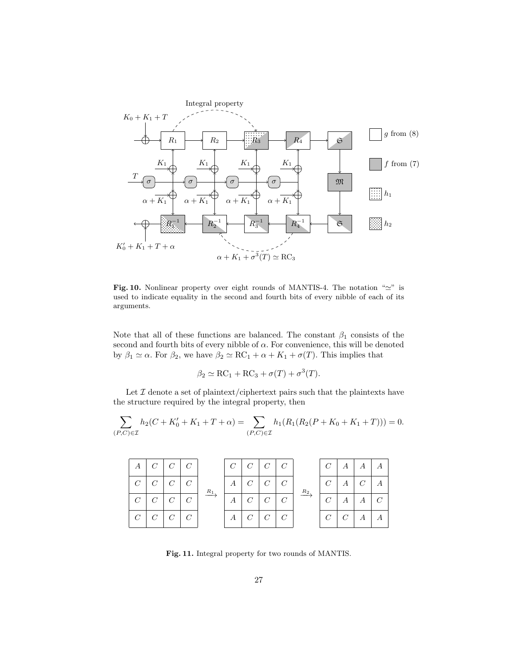

Fig. 10. Nonlinear property over eight rounds of MANTIS-4. The notation " $\simeq$ " is used to indicate equality in the second and fourth bits of every nibble of each of its arguments.

Note that all of these functions are balanced. The constant  $\beta_1$  consists of the second and fourth bits of every nibble of  $\alpha$ . For convenience, this will be denoted by  $\beta_1 \simeq \alpha$ . For  $\beta_2$ , we have  $\beta_2 \simeq \mathrm{RC}_1 + \alpha + K_1 + \sigma(T)$ . This implies that

$$
\beta_2 \simeq \mathrm{RC}_1 + \mathrm{RC}_3 + \sigma(T) + \sigma^3(T).
$$

Let  $\mathcal I$  denote a set of plaintext/ciphertext pairs such that the plaintexts have the structure required by the integral property, then

$$
\sum_{(P,C)\in\mathcal{I}} h_2(C+K_0'+K_1+T+\alpha) = \sum_{(P,C)\in\mathcal{I}} h_1(R_1(R_2(P+K_0+K_1+T))) = 0.
$$

| A              | $C \mid C \mid C$        |  |       |                  |                   | $C \mid C \mid C \mid C \mid$ |       | C <sub>1</sub> | A                | $\boldsymbol{A}$ |  |
|----------------|--------------------------|--|-------|------------------|-------------------|-------------------------------|-------|----------------|------------------|------------------|--|
|                | $C \mid C \mid C \mid C$ |  | $R_1$ | $\boldsymbol{A}$ | $C \mid C \mid C$ |                               | $R_2$ | $C_{-}$        | $\boldsymbol{A}$ | $C_{-}$          |  |
| C <sub>1</sub> | $C \mid C \mid C$        |  |       | A                | $C \mid C$        |                               |       | $C^-$          | $\boldsymbol{A}$ | A                |  |
| C <sub>1</sub> | $C \mid C \mid C$        |  |       | $\boldsymbol{A}$ | $C \mid C \mid C$ |                               |       |                | $C \mid C \mid$  | $\boldsymbol{A}$ |  |

Fig. 11. Integral property for two rounds of MANTIS.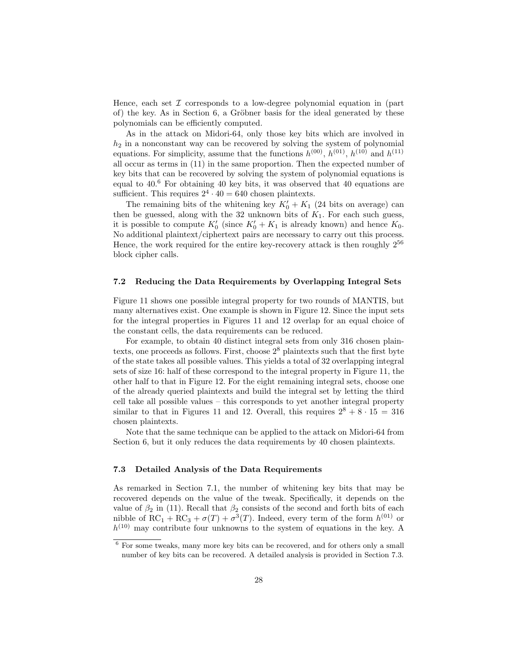Hence, each set  $\mathcal I$  corresponds to a low-degree polynomial equation in (part of) the key. As in Section  $6$ , a Gröbner basis for the ideal generated by these polynomials can be efficiently computed.

As in the attack on Midori-64, only those key bits which are involved in  $h_2$  in a nonconstant way can be recovered by solving the system of polynomial equations. For simplicity, assume that the functions  $h^{(00)}$ ,  $h^{(01)}$ ,  $h^{(10)}$  and  $h^{(11)}$ all occur as terms in (11) in the same proportion. Then the expected number of key bits that can be recovered by solving the system of polynomial equations is equal to 40.<sup>6</sup> For obtaining 40 key bits, it was observed that 40 equations are sufficient. This requires  $2^4 \cdot 40 = 640$  chosen plaintexts.

The remaining bits of the whitening key  $K'_0 + K_1$  (24 bits on average) can then be guessed, along with the 32 unknown bits of  $K_1$ . For each such guess, it is possible to compute  $K'_0$  (since  $K'_0 + K_1$  is already known) and hence  $K_0$ . No additional plaintext/ciphertext pairs are necessary to carry out this process. Hence, the work required for the entire key-recovery attack is then roughly  $2^{56}$ block cipher calls.

### 7.2 Reducing the Data Requirements by Overlapping Integral Sets

Figure 11 shows one possible integral property for two rounds of MANTIS, but many alternatives exist. One example is shown in Figure 12. Since the input sets for the integral properties in Figures 11 and 12 overlap for an equal choice of the constant cells, the data requirements can be reduced.

For example, to obtain 40 distinct integral sets from only 316 chosen plaintexts, one proceeds as follows. First, choose  $2<sup>8</sup>$  plaintexts such that the first byte of the state takes all possible values. This yields a total of 32 overlapping integral sets of size 16: half of these correspond to the integral property in Figure 11, the other half to that in Figure 12. For the eight remaining integral sets, choose one of the already queried plaintexts and build the integral set by letting the third cell take all possible values – this corresponds to yet another integral property similar to that in Figures 11 and 12. Overall, this requires  $2^8 + 8 \cdot 15 = 316$ chosen plaintexts.

Note that the same technique can be applied to the attack on Midori-64 from Section 6, but it only reduces the data requirements by 40 chosen plaintexts.

#### 7.3 Detailed Analysis of the Data Requirements

As remarked in Section 7.1, the number of whitening key bits that may be recovered depends on the value of the tweak. Specifically, it depends on the value of  $\beta_2$  in (11). Recall that  $\beta_2$  consists of the second and forth bits of each nibble of  $RC_1 + RC_3 + \sigma(T) + \sigma^3(T)$ . Indeed, every term of the form  $h^{(01)}$  or  $h^{(10)}$  may contribute four unknowns to the system of equations in the key. A

 $6$  For some tweaks, many more key bits can be recovered, and for others only a small number of key bits can be recovered. A detailed analysis is provided in Section 7.3.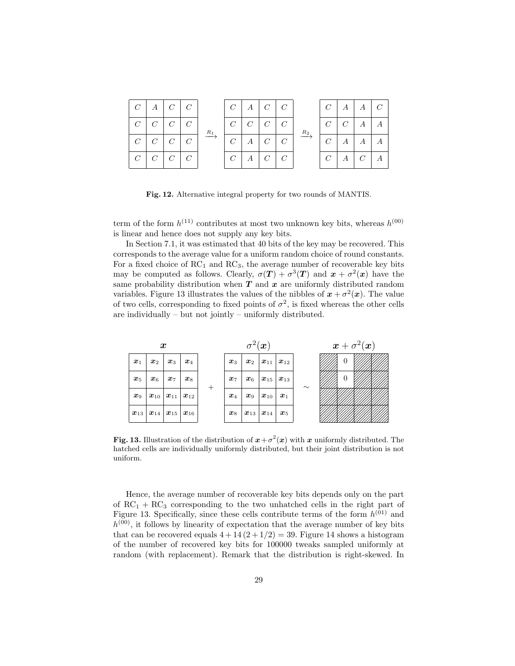| $C \mid A \mid C \mid C$      |  |       |                |   | $C \mid A \mid C \mid C$ |       |              | $C \mid A \mid A \mid$ |                | $\overline{C}$ |
|-------------------------------|--|-------|----------------|---|--------------------------|-------|--------------|------------------------|----------------|----------------|
| $C \mid C \mid C \mid C$      |  | $R_1$ | C C C C        |   |                          | $R_2$ | $^+$ $C\,$ + | $C \mid A$             |                |                |
| $C \mid C \mid C \mid C$      |  |       | C <sub>1</sub> | A | C C                      |       | $C^-$        | $\boldsymbol{A}$       | $\overline{A}$ |                |
| $C \mid C \mid C \mid C \mid$ |  |       | C A C C        |   |                          |       |              | $C \mid A \mid C$      |                |                |

Fig. 12. Alternative integral property for two rounds of MANTIS.

term of the form  $h^{(11)}$  contributes at most two unknown key bits, whereas  $h^{(00)}$ is linear and hence does not supply any key bits.

In Section 7.1, it was estimated that 40 bits of the key may be recovered. This corresponds to the average value for a uniform random choice of round constants. For a fixed choice of  $RC_1$  and  $RC_3$ , the average number of recoverable key bits may be computed as follows. Clearly,  $\sigma(T) + \sigma^3(T)$  and  $x + \sigma^2(x)$  have the same probability distribution when  $T$  and  $x$  are uniformly distributed random variables. Figure 13 illustrates the values of the nibbles of  $x + \sigma^2(x)$ . The value of two cells, corresponding to fixed points of  $\sigma^2$ , is fixed whereas the other cells are individually – but not jointly – uniformly distributed.

| $\boldsymbol{x}$   |                                           |                                                       |                    |  | $\sigma^2(\boldsymbol{x})$ |                       |                                                    |                    |        | $\boldsymbol{x}+\sigma^2(\boldsymbol{x})$ |  |  |
|--------------------|-------------------------------------------|-------------------------------------------------------|--------------------|--|----------------------------|-----------------------|----------------------------------------------------|--------------------|--------|-------------------------------------------|--|--|
| $\boldsymbol{x}_1$ | $\boldsymbol{x}_2$                        | $\boldsymbol{x}_3$                                    | $\boldsymbol{x}_4$ |  | $\boldsymbol{x}_3$         | $\boldsymbol{x}_2$    | $\  \boldsymbol{x}_{11} \, \, \boldsymbol{x}_{12}$ |                    |        | $\theta$                                  |  |  |
| $\boldsymbol{x}_5$ | $\boldsymbol{x}_6$                        | $\boldsymbol{x}_7$                                    | $\boldsymbol{x}_8$ |  | $\boldsymbol{x}_7$         | $\boldsymbol{x}_6$    | $\mid \bm{x}_{15} \mid \bm{x}_{13} \mid$           |                    | $\sim$ | $\overline{0}$                            |  |  |
| $\boldsymbol{x}_9$ | $\boldsymbol{x}_{10}$                     | $\  \boldsymbol{x}_{11} \, \, \boldsymbol{x}_{12} \ $ |                    |  | $\boldsymbol{x}_4$         | $\boldsymbol{x}_9$    | $\parallel \bm{x}_{10}\parallel$                   | $\boldsymbol{x}_1$ |        |                                           |  |  |
|                    | $x_{13}$   $x_{14}$   $x_{15}$   $x_{16}$ |                                                       |                    |  | $\boldsymbol{x}_8$         | $\boldsymbol{x}_{13}$ | $\mid x_{14}\mid$                                  | $\boldsymbol{x}_5$ |        |                                           |  |  |

Fig. 13. Illustration of the distribution of  $x+\sigma^2(x)$  with x uniformly distributed. The hatched cells are individually uniformly distributed, but their joint distribution is not uniform.

Hence, the average number of recoverable key bits depends only on the part of  $RC_1 + RC_3$  corresponding to the two unhatched cells in the right part of Figure 13. Specifically, since these cells contribute terms of the form  $h^{(01)}$  and  $h^{(00)}$ , it follows by linearity of expectation that the average number of key bits that can be recovered equals  $4 + 14(2 + 1/2) = 39$ . Figure 14 shows a histogram of the number of recovered key bits for 100000 tweaks sampled uniformly at random (with replacement). Remark that the distribution is right-skewed. In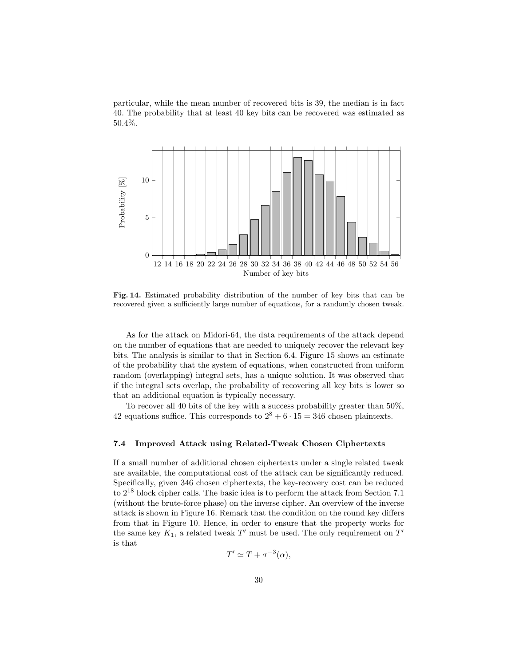particular, while the mean number of recovered bits is 39, the median is in fact 40. The probability that at least 40 key bits can be recovered was estimated as 50.4%.



Fig. 14. Estimated probability distribution of the number of key bits that can be recovered given a sufficiently large number of equations, for a randomly chosen tweak.

As for the attack on Midori-64, the data requirements of the attack depend on the number of equations that are needed to uniquely recover the relevant key bits. The analysis is similar to that in Section 6.4. Figure 15 shows an estimate of the probability that the system of equations, when constructed from uniform random (overlapping) integral sets, has a unique solution. It was observed that if the integral sets overlap, the probability of recovering all key bits is lower so that an additional equation is typically necessary.

To recover all 40 bits of the key with a success probability greater than 50%, 42 equations suffice. This corresponds to  $2^8 + 6 \cdot 15 = 346$  chosen plaintexts.

### 7.4 Improved Attack using Related-Tweak Chosen Ciphertexts

If a small number of additional chosen ciphertexts under a single related tweak are available, the computational cost of the attack can be significantly reduced. Specifically, given 346 chosen ciphertexts, the key-recovery cost can be reduced to 2<sup>18</sup> block cipher calls. The basic idea is to perform the attack from Section 7.1 (without the brute-force phase) on the inverse cipher. An overview of the inverse attack is shown in Figure 16. Remark that the condition on the round key differs from that in Figure 10. Hence, in order to ensure that the property works for the same key  $K_1$ , a related tweak  $T'$  must be used. The only requirement on  $T'$ is that

$$
T' \simeq T + \sigma^{-3}(\alpha),
$$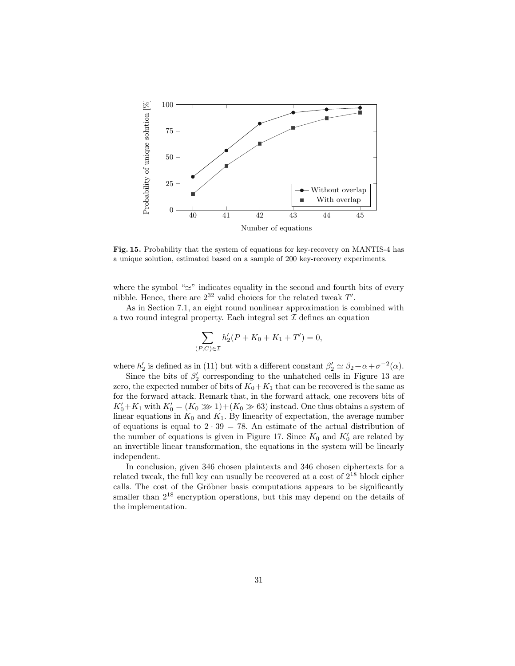

Fig. 15. Probability that the system of equations for key-recovery on MANTIS-4 has a unique solution, estimated based on a sample of 200 key-recovery experiments.

where the symbol " $\simeq$ " indicates equality in the second and fourth bits of every nibble. Hence, there are  $2^{32}$  valid choices for the related tweak  $T'$ .

As in Section 7.1, an eight round nonlinear approximation is combined with a two round integral property. Each integral set  $\mathcal I$  defines an equation

$$
\sum_{P,C\in\mathcal{I}} h_2'(P+K_0+K_1+T') = 0,
$$

 $($ 

where  $h'_2$  is defined as in (11) but with a different constant  $\beta'_2 \simeq \beta_2 + \alpha + \sigma^{-2}(\alpha)$ .

Since the bits of  $\beta_2'$  corresponding to the unhatched cells in Figure 13 are zero, the expected number of bits of  $K_0+K_1$  that can be recovered is the same as for the forward attack. Remark that, in the forward attack, one recovers bits of  $K_0' + K_1$  with  $K_0' = (K_0 \gg 1) + (K_0 \gg 63)$  instead. One thus obtains a system of linear equations in  $K_0$  and  $K_1$ . By linearity of expectation, the average number of equations is equal to  $2 \cdot 39 = 78$ . An estimate of the actual distribution of the number of equations is given in Figure 17. Since  $K_0$  and  $K'_0$  are related by an invertible linear transformation, the equations in the system will be linearly independent.

In conclusion, given 346 chosen plaintexts and 346 chosen ciphertexts for a related tweak, the full key can usually be recovered at a cost of  $2^{18}$  block cipher calls. The cost of the Gröbner basis computations appears to be significantly smaller than  $2^{18}$  encryption operations, but this may depend on the details of the implementation.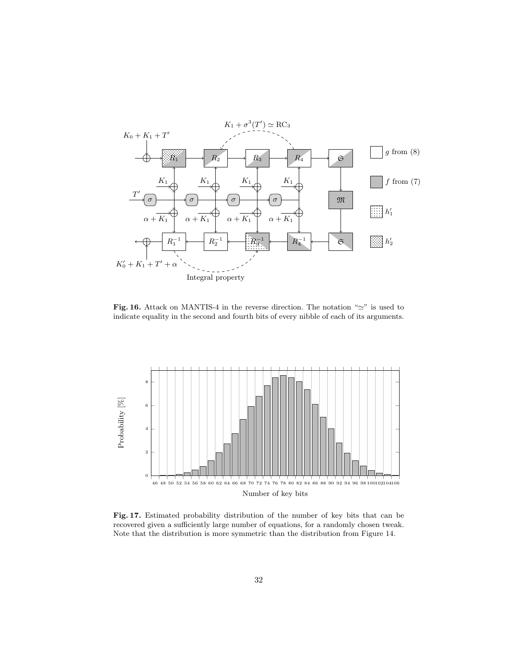

Fig. 16. Attack on MANTIS-4 in the reverse direction. The notation " $\simeq$ " is used to indicate equality in the second and fourth bits of every nibble of each of its arguments.



Fig. 17. Estimated probability distribution of the number of key bits that can be recovered given a sufficiently large number of equations, for a randomly chosen tweak. Note that the distribution is more symmetric than the distribution from Figure 14.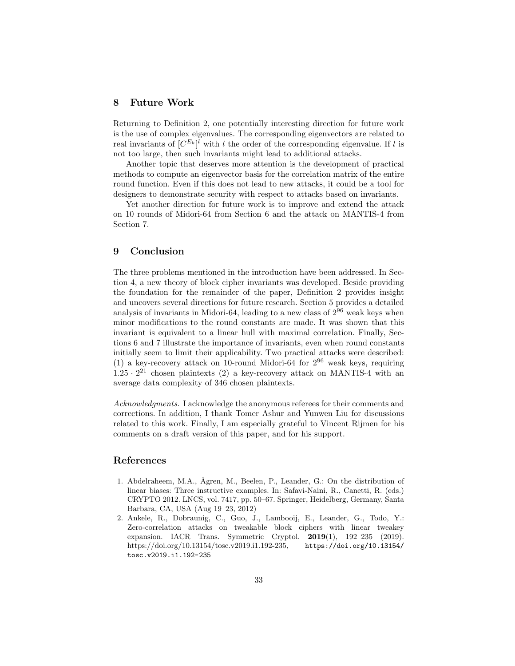# 8 Future Work

Returning to Definition 2, one potentially interesting direction for future work is the use of complex eigenvalues. The corresponding eigenvectors are related to real invariants of  $[C^{E_k}]^l$  with l the order of the corresponding eigenvalue. If l is not too large, then such invariants might lead to additional attacks.

Another topic that deserves more attention is the development of practical methods to compute an eigenvector basis for the correlation matrix of the entire round function. Even if this does not lead to new attacks, it could be a tool for designers to demonstrate security with respect to attacks based on invariants.

Yet another direction for future work is to improve and extend the attack on 10 rounds of Midori-64 from Section 6 and the attack on MANTIS-4 from Section 7.

## 9 Conclusion

The three problems mentioned in the introduction have been addressed. In Section 4, a new theory of block cipher invariants was developed. Beside providing the foundation for the remainder of the paper, Definition 2 provides insight and uncovers several directions for future research. Section 5 provides a detailed analysis of invariants in Midori-64, leading to a new class of  $2^{96}$  weak keys when minor modifications to the round constants are made. It was shown that this invariant is equivalent to a linear hull with maximal correlation. Finally, Sections 6 and 7 illustrate the importance of invariants, even when round constants initially seem to limit their applicability. Two practical attacks were described: (1) a key-recovery attack on 10-round Midori-64 for  $2^{96}$  weak keys, requiring  $1.25 \cdot 2^{21}$  chosen plaintexts (2) a key-recovery attack on MANTIS-4 with an average data complexity of 346 chosen plaintexts.

Acknowledgments. I acknowledge the anonymous referees for their comments and corrections. In addition, I thank Tomer Ashur and Yunwen Liu for discussions related to this work. Finally, I am especially grateful to Vincent Rijmen for his comments on a draft version of this paper, and for his support.

# References

- 1. Abdelraheem, M.A., Ågren, M., Beelen, P., Leander, G.: On the distribution of linear biases: Three instructive examples. In: Safavi-Naini, R., Canetti, R. (eds.) CRYPTO 2012. LNCS, vol. 7417, pp. 50–67. Springer, Heidelberg, Germany, Santa Barbara, CA, USA (Aug 19–23, 2012)
- 2. Ankele, R., Dobraunig, C., Guo, J., Lambooij, E., Leander, G., Todo, Y.: Zero-correlation attacks on tweakable block ciphers with linear tweakey expansion. IACR Trans. Symmetric Cryptol. 2019(1), 192–235 (2019). https://doi.org/10.13154/tosc.v2019.i1.192-235, https://doi.org/10.13154/ tosc.v2019.i1.192-235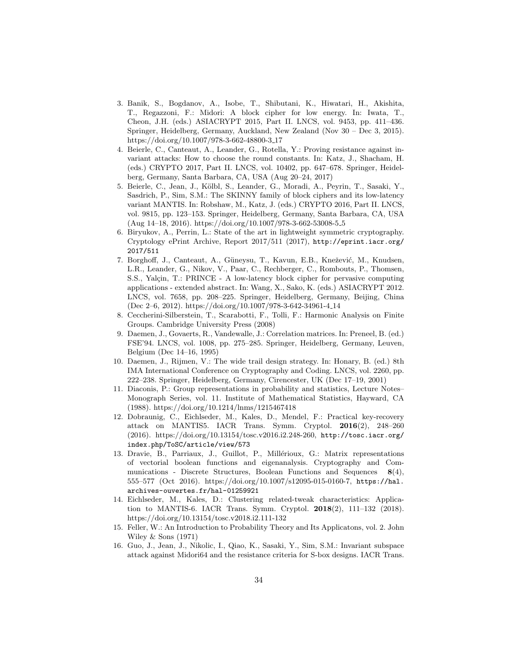- 3. Banik, S., Bogdanov, A., Isobe, T., Shibutani, K., Hiwatari, H., Akishita, T., Regazzoni, F.: Midori: A block cipher for low energy. In: Iwata, T., Cheon, J.H. (eds.) ASIACRYPT 2015, Part II. LNCS, vol. 9453, pp. 411–436. Springer, Heidelberg, Germany, Auckland, New Zealand (Nov 30 – Dec 3, 2015). https://doi.org/10.1007/978-3-662-48800-3 17
- 4. Beierle, C., Canteaut, A., Leander, G., Rotella, Y.: Proving resistance against invariant attacks: How to choose the round constants. In: Katz, J., Shacham, H. (eds.) CRYPTO 2017, Part II. LNCS, vol. 10402, pp. 647–678. Springer, Heidelberg, Germany, Santa Barbara, CA, USA (Aug 20–24, 2017)
- 5. Beierle, C., Jean, J., Kölbl, S., Leander, G., Moradi, A., Peyrin, T., Sasaki, Y., Sasdrich, P., Sim, S.M.: The SKINNY family of block ciphers and its low-latency variant MANTIS. In: Robshaw, M., Katz, J. (eds.) CRYPTO 2016, Part II. LNCS, vol. 9815, pp. 123–153. Springer, Heidelberg, Germany, Santa Barbara, CA, USA (Aug 14–18, 2016). https://doi.org/10.1007/978-3-662-53008-5 5
- 6. Biryukov, A., Perrin, L.: State of the art in lightweight symmetric cryptography. Cryptology ePrint Archive, Report 2017/511 (2017), http://eprint.iacr.org/ 2017/511
- 7. Borghoff, J., Canteaut, A., Güneysu, T., Kavun, E.B., Knežević, M., Knudsen, L.R., Leander, G., Nikov, V., Paar, C., Rechberger, C., Rombouts, P., Thomsen, S.S., Yalçin, T.: PRINCE - A low-latency block cipher for pervasive computing applications - extended abstract. In: Wang, X., Sako, K. (eds.) ASIACRYPT 2012. LNCS, vol. 7658, pp. 208–225. Springer, Heidelberg, Germany, Beijing, China (Dec 2–6, 2012). https://doi.org/10.1007/978-3-642-34961-4 14
- 8. Ceccherini-Silberstein, T., Scarabotti, F., Tolli, F.: Harmonic Analysis on Finite Groups. Cambridge University Press (2008)
- 9. Daemen, J., Govaerts, R., Vandewalle, J.: Correlation matrices. In: Preneel, B. (ed.) FSE'94. LNCS, vol. 1008, pp. 275–285. Springer, Heidelberg, Germany, Leuven, Belgium (Dec 14–16, 1995)
- 10. Daemen, J., Rijmen, V.: The wide trail design strategy. In: Honary, B. (ed.) 8th IMA International Conference on Cryptography and Coding. LNCS, vol. 2260, pp. 222–238. Springer, Heidelberg, Germany, Cirencester, UK (Dec 17–19, 2001)
- 11. Diaconis, P.: Group representations in probability and statistics, Lecture Notes– Monograph Series, vol. 11. Institute of Mathematical Statistics, Hayward, CA (1988). https://doi.org/10.1214/lnms/1215467418
- 12. Dobraunig, C., Eichlseder, M., Kales, D., Mendel, F.: Practical key-recovery attack on MANTIS5. IACR Trans. Symm. Cryptol. 2016(2), 248–260 (2016). https://doi.org/10.13154/tosc.v2016.i2.248-260, http://tosc.iacr.org/ index.php/ToSC/article/view/573
- 13. Dravie, B., Parriaux, J., Guillot, P., Millérioux, G.: Matrix representations of vectorial boolean functions and eigenanalysis. Cryptography and Communications - Discrete Structures, Boolean Functions and Sequences  $8(4)$ , 555–577 (Oct 2016). https://doi.org/10.1007/s12095-015-0160-7, https://hal. archives-ouvertes.fr/hal-01259921
- 14. Eichlseder, M., Kales, D.: Clustering related-tweak characteristics: Application to MANTIS-6. IACR Trans. Symm. Cryptol. 2018(2), 111–132 (2018). https://doi.org/10.13154/tosc.v2018.i2.111-132
- 15. Feller, W.: An Introduction to Probability Theory and Its Applicatons, vol. 2. John Wiley & Sons (1971)
- 16. Guo, J., Jean, J., Nikolic, I., Qiao, K., Sasaki, Y., Sim, S.M.: Invariant subspace attack against Midori64 and the resistance criteria for S-box designs. IACR Trans.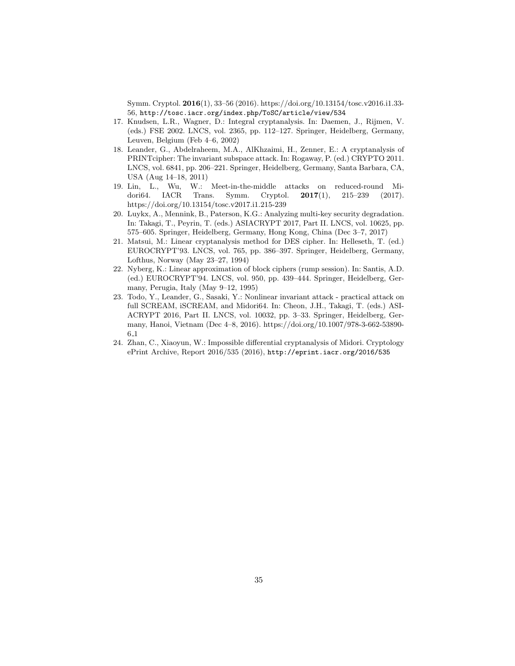Symm. Cryptol. 2016(1), 33–56 (2016). https://doi.org/10.13154/tosc.v2016.i1.33- 56, http://tosc.iacr.org/index.php/ToSC/article/view/534

- 17. Knudsen, L.R., Wagner, D.: Integral cryptanalysis. In: Daemen, J., Rijmen, V. (eds.) FSE 2002. LNCS, vol. 2365, pp. 112–127. Springer, Heidelberg, Germany, Leuven, Belgium (Feb 4–6, 2002)
- 18. Leander, G., Abdelraheem, M.A., AlKhzaimi, H., Zenner, E.: A cryptanalysis of PRINTcipher: The invariant subspace attack. In: Rogaway, P. (ed.) CRYPTO 2011. LNCS, vol. 6841, pp. 206–221. Springer, Heidelberg, Germany, Santa Barbara, CA, USA (Aug 14–18, 2011)
- 19. Lin, L., Wu, W.: Meet-in-the-middle attacks on reduced-round Midori64. IACR Trans. Symm. Cryptol. 2017(1), 215–239 (2017). https://doi.org/10.13154/tosc.v2017.i1.215-239
- 20. Luykx, A., Mennink, B., Paterson, K.G.: Analyzing multi-key security degradation. In: Takagi, T., Peyrin, T. (eds.) ASIACRYPT 2017, Part II. LNCS, vol. 10625, pp. 575–605. Springer, Heidelberg, Germany, Hong Kong, China (Dec 3–7, 2017)
- 21. Matsui, M.: Linear cryptanalysis method for DES cipher. In: Helleseth, T. (ed.) EUROCRYPT'93. LNCS, vol. 765, pp. 386–397. Springer, Heidelberg, Germany, Lofthus, Norway (May 23–27, 1994)
- 22. Nyberg, K.: Linear approximation of block ciphers (rump session). In: Santis, A.D. (ed.) EUROCRYPT'94. LNCS, vol. 950, pp. 439–444. Springer, Heidelberg, Germany, Perugia, Italy (May 9–12, 1995)
- 23. Todo, Y., Leander, G., Sasaki, Y.: Nonlinear invariant attack practical attack on full SCREAM, iSCREAM, and Midori64. In: Cheon, J.H., Takagi, T. (eds.) ASI-ACRYPT 2016, Part II. LNCS, vol. 10032, pp. 3–33. Springer, Heidelberg, Germany, Hanoi, Vietnam (Dec 4–8, 2016). https://doi.org/10.1007/978-3-662-53890- 6 1
- 24. Zhan, C., Xiaoyun, W.: Impossible differential cryptanalysis of Midori. Cryptology ePrint Archive, Report 2016/535 (2016), http://eprint.iacr.org/2016/535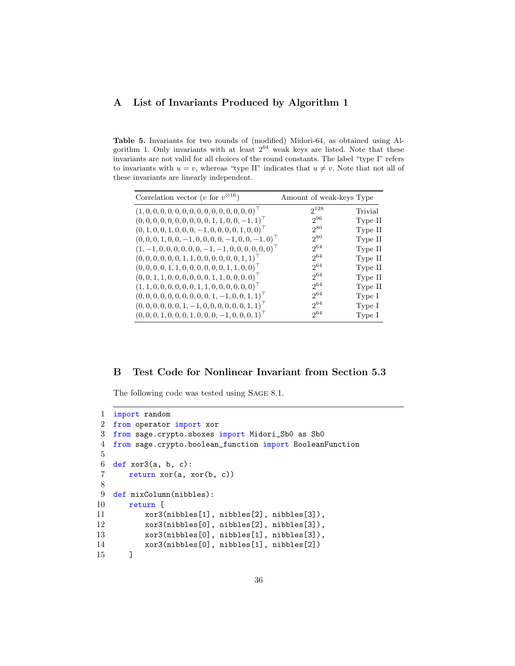# A List of Invariants Produced by Algorithm 1

Table 5. Invariants for two rounds of (modified) Midori-64, as obtained using Algorithm 1. Only invariants with at least  $2^{64}$  weak keys are listed. Note that these invariants are not valid for all choices of the round constants. The label "type I" refers to invariants with  $u = v$ , whereas "type II" indicates that  $u \neq v$ . Note that not all of these invariants are linearly independent.

| Correlation vector ( <i>v</i> for $v^{\otimes 16}$ )               | Amount of weak-keys Type |         |
|--------------------------------------------------------------------|--------------------------|---------|
| $(1,0,0,0,0,0,0,0,0,0,0,0,0,0,0,0)^{\top}$                         | $2^{128}$                | Trivial |
| $(0, 0, 0, 0, 0, 0, 0, 0, 0, 0, 1, 1, 0, 0, -1, 1)$                | $2^{96}$                 | Type II |
| $(0, 1, 0, 0, 1, 0, 0, 0, -1, 0, 0, 0, 0, 1, 0, 0)$ <sup>T</sup>   | $2^{80}$                 | Type II |
| $(0,0,0,1,0,0,-1,0,0,0,0,-1,0,0,-1,0)$ <sup>T</sup>                | $2^{80}$                 | Type II |
| $(1, -1, 0, 0, 0, 0, 0, 0, -1, -1, 0, 0, 0, 0, 0, 0)$ <sup>T</sup> | $2^{64}$                 | Type II |
| $(0,0,0,0,0,0,1,1,0,0,0,0,0,0,1,1)$ <sup>T</sup>                   | $2^{64}$                 | Type II |
| $(0, 0, 0, 0, 1, 1, 0, 0, 0, 0, 0, 0, 1, 1, 0, 0)$ <sup>T</sup>    | $2^{64}$                 | Type II |
| $(0,0,1,1,0,0,0,0,0,0,1,1,0,0,0,0)$ <sup>T</sup>                   | $2^{64}$                 | Type II |
| $(1, 1, 0, 0, 0, 0, 0, 0, 1, 1, 0, 0, 0, 0, 0, 0)$ <sup>T</sup>    | $2^{64}$                 | Type II |
| $(0,0,0,0,0,0,0,0,0,0,1,-1,0,0,1,1)$ <sup>T</sup>                  | 2064                     | Type I  |
| $(0, 0, 0, 0, 0, 0, 1, -1, 0, 0, 0, 0, 0, 0, 1, 1)$ <sup>T</sup>   | $2^{64}$                 | Type I  |
| $(0, 0, 0, 1, 0, 0, 0, 1, 0, 0, 0, -1, 0, 0, 0, 1)$ <sup>T</sup>   | $2^{64}$                 | Type I  |

# B Test Code for Nonlinear Invariant from Section 5.3

The following code was tested using Sage 8.1.

```
1 import random
2 from operator import xor
3 from sage.crypto.sboxes import Midori_Sb0 as Sb0
4 from sage.crypto.boolean_function import BooleanFunction
5
6 def xor3(a, b, c):
7 return xor(a, xor(b, c))
8
9 def mixColumn(nibbles):
10 return [
11 \text{xor3(nibbles[1], nibbles[2], nibbles[3]),}12 xor3(nibbles[0], nibbles[2], nibbles[3]),
13 xor3(nibbles[0], nibbles[1], nibbles[3]),
14 xor3(nibbles[0], nibbles[1], nibbles[2])
15 ]
```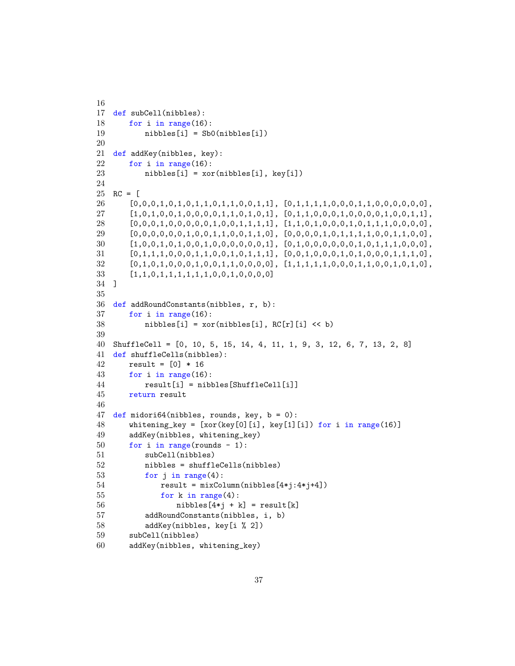```
16
17 def subCell(nibbles):
18 for i in range(16):
19 nibbles[i] = Sb0(nibbles[i])
20
21 def addKey(nibbles, key):
22 for i in range(16):
23 \qquad \qquad \text{nibbles[i]} = \text{xor(nibbles[i], key[i])}24
25 \text{ RC} = \text{C}26 [0,0,0,1,0,1,0,1,1,0,1,1,0,0,1,1], [0,1,1,1,1,0,0,0,1,1,0,0,0,0,0,0],
27 [1,0,1,0,0,1,0,0,0,0,1,1,0,1,0,1], [0,1,1,0,0,0,1,0,0,0,0,1,0,0,1,1],
28 [0,0,0,1,0,0,0,0,0,0,1,0,0,1,1,1,1], [1,1,0,1,0,0,0,1,0,1,1,1,1,0,0,0,0,0],29 [0,0,0,0,0,0,1,0,0,1,1,0,0,1,1,0], [0,0,0,0,1,0,1,1,1,1,0,0,1,1,0,0],30 [1,0,0,1,0,1,0,0,1,0,0,0,0,0,0,1], [0,1,0,0,0,0,0,0,1,0,1,1,1,0,0,0],
31 \qquad [0,1,1,1,0,0,0,1,1,0,0,1,0,1,1,1], [0,0,1,0,0,0,1,0,1,0,0,0,1,1,1,0],32 \qquad [0,1,0,1,0,0,0,1,0,0,1,1,0,0,0,0], \quad [1,1,1,1,1,1,0,0,0,1,1,0,0,1,0,1,0],33 [1,1,0,1,1,1,1,1,1,0,0,1,0,0,0,0]
34 ]
35
36 def addRoundConstants(nibbles, r, b):<br>37 for i in range(16):
       for i in range(16):
38 nibbles[i] = xor(nibbles[i], RC[r][i] \ll b)
39
40 ShuffleCell = [0, 10, 5, 15, 14, 4, 11, 1, 9, 3, 12, 6, 7, 13, 2, 8]
41 def shuffleCells(nibbles):
42 result = [0] * 16
43 for i in range(16):
44 result[i] = nibbles[ShuffleCell[i]]
45 return result
46
47 def midori64(nibbles, rounds, key, b = 0):
48 whitening_key = [xor(key[0][i], key[1][i]) for i in range(16)]
49 addKey(nibbles, whitening_key)
50 for i in range(rounds - 1):
51 subCell(nibbles)
52 nibbles = shuffleCells(nibbles)
53 for j in range(4):<br>54 result = mixCo]
              result = mixColumn(nibbles[4*j:4*j+4])55 for k in range(4):
56 \text{nibbles}[4* \text{i} + \text{k}] = \text{result}[ \text{k} ]57 addRoundConstants(nibbles, i, b)
58 addKey(nibbles, key[i % 2])
59 subCell(nibbles)
60 addKey(nibbles, whitening_key)
```